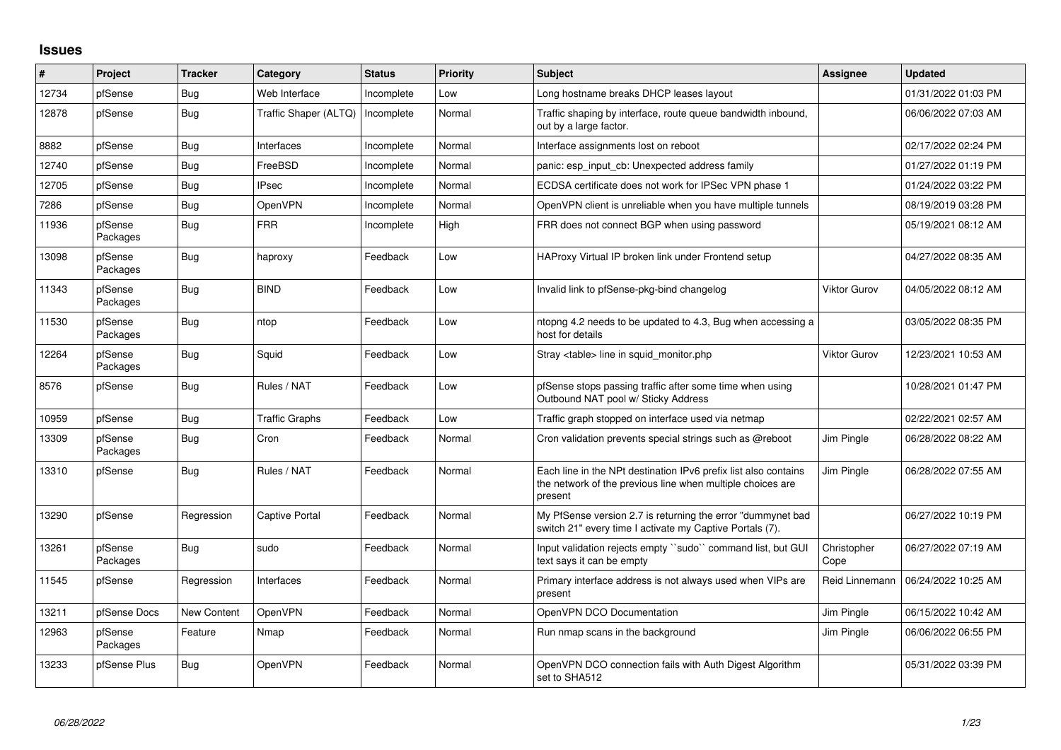## **Issues**

| ∦     | Project             | <b>Tracker</b> | Category              | <b>Status</b> | <b>Priority</b> | <b>Subject</b>                                                                                                                           | Assignee            | <b>Updated</b>      |
|-------|---------------------|----------------|-----------------------|---------------|-----------------|------------------------------------------------------------------------------------------------------------------------------------------|---------------------|---------------------|
| 12734 | pfSense             | Bug            | Web Interface         | Incomplete    | Low             | Long hostname breaks DHCP leases layout                                                                                                  |                     | 01/31/2022 01:03 PM |
| 12878 | pfSense             | <b>Bug</b>     | Traffic Shaper (ALTQ) | Incomplete    | Normal          | Traffic shaping by interface, route queue bandwidth inbound,<br>out by a large factor.                                                   |                     | 06/06/2022 07:03 AM |
| 8882  | pfSense             | <b>Bug</b>     | Interfaces            | Incomplete    | Normal          | Interface assignments lost on reboot                                                                                                     |                     | 02/17/2022 02:24 PM |
| 12740 | pfSense             | <b>Bug</b>     | FreeBSD               | Incomplete    | Normal          | panic: esp input cb: Unexpected address family                                                                                           |                     | 01/27/2022 01:19 PM |
| 12705 | pfSense             | <b>Bug</b>     | <b>IPsec</b>          | Incomplete    | Normal          | ECDSA certificate does not work for IPSec VPN phase 1                                                                                    |                     | 01/24/2022 03:22 PM |
| 7286  | pfSense             | <b>Bug</b>     | <b>OpenVPN</b>        | Incomplete    | Normal          | OpenVPN client is unreliable when you have multiple tunnels                                                                              |                     | 08/19/2019 03:28 PM |
| 11936 | pfSense<br>Packages | Bug            | <b>FRR</b>            | Incomplete    | High            | FRR does not connect BGP when using password                                                                                             |                     | 05/19/2021 08:12 AM |
| 13098 | pfSense<br>Packages | <b>Bug</b>     | haproxy               | Feedback      | Low             | HAProxy Virtual IP broken link under Frontend setup                                                                                      |                     | 04/27/2022 08:35 AM |
| 11343 | pfSense<br>Packages | Bug            | <b>BIND</b>           | Feedback      | Low             | Invalid link to pfSense-pkg-bind changelog                                                                                               | <b>Viktor Gurov</b> | 04/05/2022 08:12 AM |
| 11530 | pfSense<br>Packages | Bug            | ntop                  | Feedback      | Low             | ntopng 4.2 needs to be updated to 4.3, Bug when accessing a<br>host for details                                                          |                     | 03/05/2022 08:35 PM |
| 12264 | pfSense<br>Packages | Bug            | Squid                 | Feedback      | Low             | Stray <table> line in squid monitor.php</table>                                                                                          | <b>Viktor Gurov</b> | 12/23/2021 10:53 AM |
| 8576  | pfSense             | <b>Bug</b>     | Rules / NAT           | Feedback      | Low             | pfSense stops passing traffic after some time when using<br>Outbound NAT pool w/ Sticky Address                                          |                     | 10/28/2021 01:47 PM |
| 10959 | pfSense             | <b>Bug</b>     | <b>Traffic Graphs</b> | Feedback      | Low             | Traffic graph stopped on interface used via netmap                                                                                       |                     | 02/22/2021 02:57 AM |
| 13309 | pfSense<br>Packages | Bug            | Cron                  | Feedback      | Normal          | Cron validation prevents special strings such as @reboot                                                                                 | Jim Pingle          | 06/28/2022 08:22 AM |
| 13310 | pfSense             | <b>Bug</b>     | Rules / NAT           | Feedback      | Normal          | Each line in the NPt destination IPv6 prefix list also contains<br>the network of the previous line when multiple choices are<br>present | Jim Pingle          | 06/28/2022 07:55 AM |
| 13290 | pfSense             | Regression     | Captive Portal        | Feedback      | Normal          | My PfSense version 2.7 is returning the error "dummynet bad<br>switch 21" every time I activate my Captive Portals (7).                  |                     | 06/27/2022 10:19 PM |
| 13261 | pfSense<br>Packages | <b>Bug</b>     | sudo                  | Feedback      | Normal          | Input validation rejects empty "sudo" command list, but GUI<br>text says it can be empty                                                 | Christopher<br>Cope | 06/27/2022 07:19 AM |
| 11545 | pfSense             | Regression     | Interfaces            | Feedback      | Normal          | Primary interface address is not always used when VIPs are<br>present                                                                    | Reid Linnemann      | 06/24/2022 10:25 AM |
| 13211 | pfSense Docs        | New Content    | OpenVPN               | Feedback      | Normal          | OpenVPN DCO Documentation                                                                                                                | Jim Pingle          | 06/15/2022 10:42 AM |
| 12963 | pfSense<br>Packages | Feature        | Nmap                  | Feedback      | Normal          | Run nmap scans in the background                                                                                                         | Jim Pingle          | 06/06/2022 06:55 PM |
| 13233 | pfSense Plus        | <b>Bug</b>     | <b>OpenVPN</b>        | Feedback      | Normal          | OpenVPN DCO connection fails with Auth Digest Algorithm<br>set to SHA512                                                                 |                     | 05/31/2022 03:39 PM |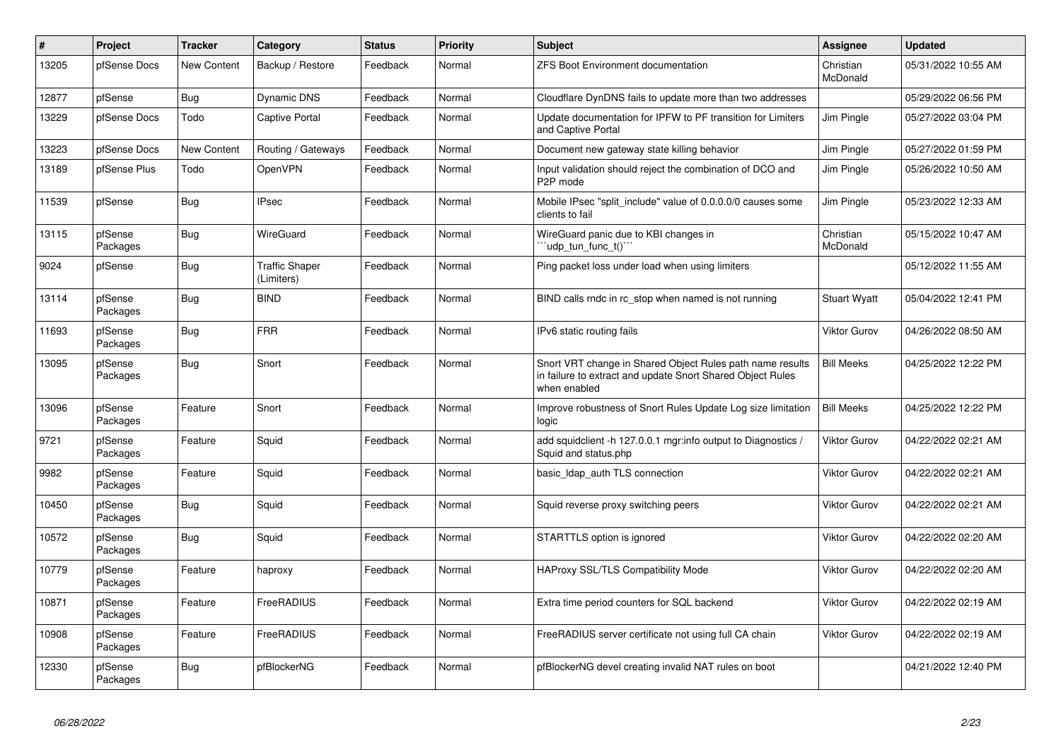| $\vert$ # | Project             | <b>Tracker</b> | Category                            | <b>Status</b> | <b>Priority</b> | <b>Subject</b>                                                                                                                          | Assignee              | <b>Updated</b>      |
|-----------|---------------------|----------------|-------------------------------------|---------------|-----------------|-----------------------------------------------------------------------------------------------------------------------------------------|-----------------------|---------------------|
| 13205     | pfSense Docs        | New Content    | Backup / Restore                    | Feedback      | Normal          | <b>ZFS Boot Environment documentation</b>                                                                                               | Christian<br>McDonald | 05/31/2022 10:55 AM |
| 12877     | pfSense             | Bug            | Dynamic DNS                         | Feedback      | Normal          | Cloudflare DynDNS fails to update more than two addresses                                                                               |                       | 05/29/2022 06:56 PM |
| 13229     | pfSense Docs        | Todo           | Captive Portal                      | Feedback      | Normal          | Update documentation for IPFW to PF transition for Limiters<br>and Captive Portal                                                       | Jim Pingle            | 05/27/2022 03:04 PM |
| 13223     | pfSense Docs        | New Content    | Routing / Gateways                  | Feedback      | Normal          | Document new gateway state killing behavior                                                                                             | Jim Pingle            | 05/27/2022 01:59 PM |
| 13189     | pfSense Plus        | Todo           | OpenVPN                             | Feedback      | Normal          | Input validation should reject the combination of DCO and<br>P <sub>2</sub> P mode                                                      | Jim Pingle            | 05/26/2022 10:50 AM |
| 11539     | pfSense             | Bug            | <b>IPsec</b>                        | Feedback      | Normal          | Mobile IPsec "split include" value of 0.0.0.0/0 causes some<br>clients to fail                                                          | Jim Pingle            | 05/23/2022 12:33 AM |
| 13115     | pfSense<br>Packages | Bug            | WireGuard                           | Feedback      | Normal          | WireGuard panic due to KBI changes in<br>'udp tun func t()''                                                                            | Christian<br>McDonald | 05/15/2022 10:47 AM |
| 9024      | pfSense             | Bug            | <b>Traffic Shaper</b><br>(Limiters) | Feedback      | Normal          | Ping packet loss under load when using limiters                                                                                         |                       | 05/12/2022 11:55 AM |
| 13114     | pfSense<br>Packages | Bug            | <b>BIND</b>                         | Feedback      | Normal          | BIND calls rndc in rc stop when named is not running                                                                                    | <b>Stuart Wyatt</b>   | 05/04/2022 12:41 PM |
| 11693     | pfSense<br>Packages | Bug            | <b>FRR</b>                          | Feedback      | Normal          | IPv6 static routing fails                                                                                                               | <b>Viktor Gurov</b>   | 04/26/2022 08:50 AM |
| 13095     | pfSense<br>Packages | Bug            | Snort                               | Feedback      | Normal          | Snort VRT change in Shared Object Rules path name results<br>in failure to extract and update Snort Shared Object Rules<br>when enabled | <b>Bill Meeks</b>     | 04/25/2022 12:22 PM |
| 13096     | pfSense<br>Packages | Feature        | Snort                               | Feedback      | Normal          | Improve robustness of Snort Rules Update Log size limitation<br>logic                                                                   | <b>Bill Meeks</b>     | 04/25/2022 12:22 PM |
| 9721      | pfSense<br>Packages | Feature        | Squid                               | Feedback      | Normal          | add squidclient -h 127.0.0.1 mgr:info output to Diagnostics /<br>Squid and status.php                                                   | <b>Viktor Gurov</b>   | 04/22/2022 02:21 AM |
| 9982      | pfSense<br>Packages | Feature        | Squid                               | Feedback      | Normal          | basic Idap auth TLS connection                                                                                                          | <b>Viktor Gurov</b>   | 04/22/2022 02:21 AM |
| 10450     | pfSense<br>Packages | <b>Bug</b>     | Squid                               | Feedback      | Normal          | Squid reverse proxy switching peers                                                                                                     | <b>Viktor Gurov</b>   | 04/22/2022 02:21 AM |
| 10572     | pfSense<br>Packages | Bug            | Squid                               | Feedback      | Normal          | STARTTLS option is ignored                                                                                                              | <b>Viktor Gurov</b>   | 04/22/2022 02:20 AM |
| 10779     | pfSense<br>Packages | Feature        | haproxy                             | Feedback      | Normal          | <b>HAProxy SSL/TLS Compatibility Mode</b>                                                                                               | <b>Viktor Gurov</b>   | 04/22/2022 02:20 AM |
| 10871     | pfSense<br>Packages | Feature        | FreeRADIUS                          | Feedback      | Normal          | Extra time period counters for SQL backend                                                                                              | <b>Viktor Gurov</b>   | 04/22/2022 02:19 AM |
| 10908     | pfSense<br>Packages | Feature        | FreeRADIUS                          | Feedback      | Normal          | FreeRADIUS server certificate not using full CA chain                                                                                   | <b>Viktor Gurov</b>   | 04/22/2022 02:19 AM |
| 12330     | pfSense<br>Packages | <b>Bug</b>     | pfBlockerNG                         | Feedback      | Normal          | pfBlockerNG devel creating invalid NAT rules on boot                                                                                    |                       | 04/21/2022 12:40 PM |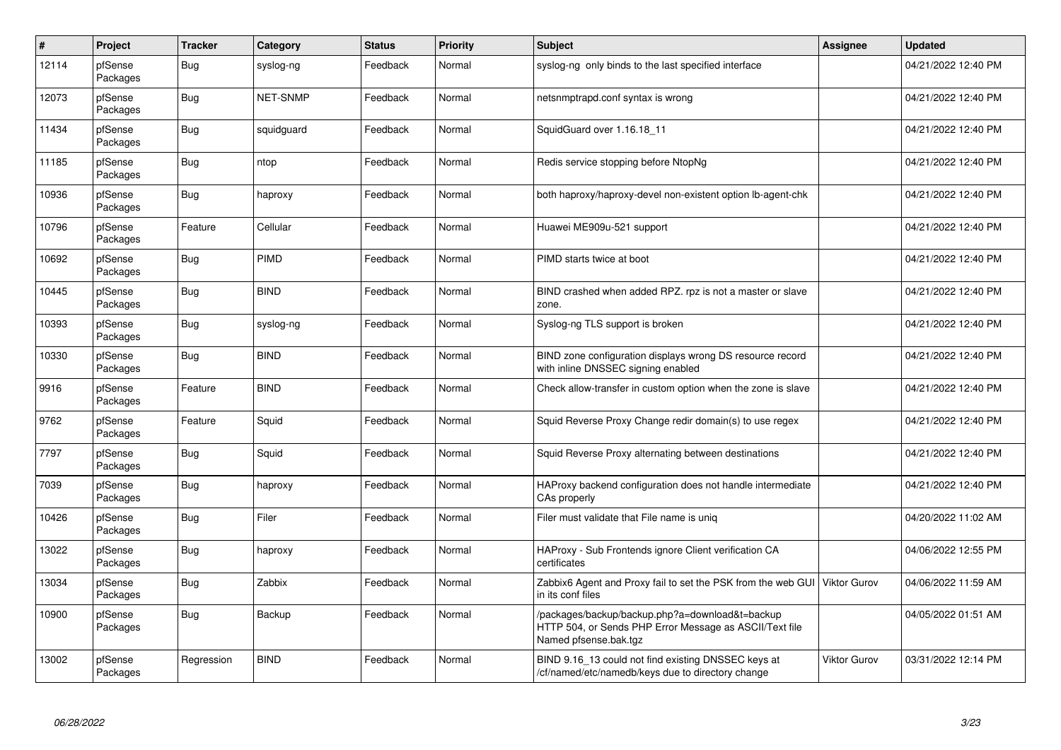| $\#$  | Project             | <b>Tracker</b> | Category    | <b>Status</b> | <b>Priority</b> | Subject                                                                                                                             | Assignee            | <b>Updated</b>      |
|-------|---------------------|----------------|-------------|---------------|-----------------|-------------------------------------------------------------------------------------------------------------------------------------|---------------------|---------------------|
| 12114 | pfSense<br>Packages | <b>Bug</b>     | syslog-ng   | Feedback      | Normal          | syslog-ng only binds to the last specified interface                                                                                |                     | 04/21/2022 12:40 PM |
| 12073 | pfSense<br>Packages | <b>Bug</b>     | NET-SNMP    | Feedback      | Normal          | netsnmptrapd.conf syntax is wrong                                                                                                   |                     | 04/21/2022 12:40 PM |
| 11434 | pfSense<br>Packages | <b>Bug</b>     | squidguard  | Feedback      | Normal          | SquidGuard over 1.16.18_11                                                                                                          |                     | 04/21/2022 12:40 PM |
| 11185 | pfSense<br>Packages | Bug            | ntop        | Feedback      | Normal          | Redis service stopping before NtopNg                                                                                                |                     | 04/21/2022 12:40 PM |
| 10936 | pfSense<br>Packages | Bug            | haproxy     | Feedback      | Normal          | both haproxy/haproxy-devel non-existent option lb-agent-chk                                                                         |                     | 04/21/2022 12:40 PM |
| 10796 | pfSense<br>Packages | Feature        | Cellular    | Feedback      | Normal          | Huawei ME909u-521 support                                                                                                           |                     | 04/21/2022 12:40 PM |
| 10692 | pfSense<br>Packages | <b>Bug</b>     | PIMD        | Feedback      | Normal          | PIMD starts twice at boot                                                                                                           |                     | 04/21/2022 12:40 PM |
| 10445 | pfSense<br>Packages | <b>Bug</b>     | <b>BIND</b> | Feedback      | Normal          | BIND crashed when added RPZ. rpz is not a master or slave<br>zone.                                                                  |                     | 04/21/2022 12:40 PM |
| 10393 | pfSense<br>Packages | <b>Bug</b>     | syslog-ng   | Feedback      | Normal          | Syslog-ng TLS support is broken                                                                                                     |                     | 04/21/2022 12:40 PM |
| 10330 | pfSense<br>Packages | <b>Bug</b>     | <b>BIND</b> | Feedback      | Normal          | BIND zone configuration displays wrong DS resource record<br>with inline DNSSEC signing enabled                                     |                     | 04/21/2022 12:40 PM |
| 9916  | pfSense<br>Packages | Feature        | <b>BIND</b> | Feedback      | Normal          | Check allow-transfer in custom option when the zone is slave                                                                        |                     | 04/21/2022 12:40 PM |
| 9762  | pfSense<br>Packages | Feature        | Squid       | Feedback      | Normal          | Squid Reverse Proxy Change redir domain(s) to use regex                                                                             |                     | 04/21/2022 12:40 PM |
| 7797  | pfSense<br>Packages | <b>Bug</b>     | Squid       | Feedback      | Normal          | Squid Reverse Proxy alternating between destinations                                                                                |                     | 04/21/2022 12:40 PM |
| 7039  | pfSense<br>Packages | <b>Bug</b>     | haproxy     | Feedback      | Normal          | HAProxy backend configuration does not handle intermediate<br>CAs properly                                                          |                     | 04/21/2022 12:40 PM |
| 10426 | pfSense<br>Packages | Bug            | Filer       | Feedback      | Normal          | Filer must validate that File name is unig                                                                                          |                     | 04/20/2022 11:02 AM |
| 13022 | pfSense<br>Packages | <b>Bug</b>     | haproxy     | Feedback      | Normal          | HAProxy - Sub Frontends ignore Client verification CA<br>certificates                                                               |                     | 04/06/2022 12:55 PM |
| 13034 | pfSense<br>Packages | <b>Bug</b>     | Zabbix      | Feedback      | Normal          | Zabbix6 Agent and Proxy fail to set the PSK from the web GUI<br>in its conf files                                                   | <b>Viktor Gurov</b> | 04/06/2022 11:59 AM |
| 10900 | pfSense<br>Packages | Bug            | Backup      | Feedback      | Normal          | /packages/backup/backup.php?a=download&t=backup<br>HTTP 504, or Sends PHP Error Message as ASCII/Text file<br>Named pfsense.bak.tgz |                     | 04/05/2022 01:51 AM |
| 13002 | pfSense<br>Packages | Regression     | <b>BIND</b> | Feedback      | Normal          | BIND 9.16_13 could not find existing DNSSEC keys at<br>/cf/named/etc/namedb/keys due to directory change                            | Viktor Gurov        | 03/31/2022 12:14 PM |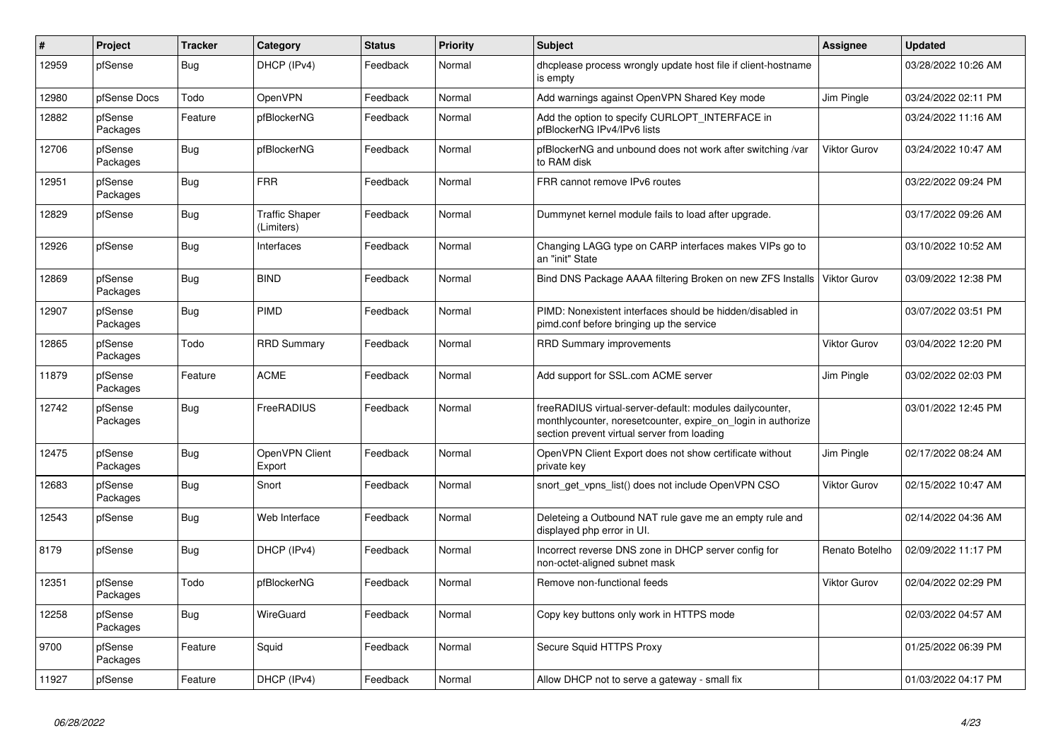| $\#$  | Project             | <b>Tracker</b> | Category                            | <b>Status</b> | <b>Priority</b> | <b>Subject</b>                                                                                                                                                          | Assignee            | <b>Updated</b>      |
|-------|---------------------|----------------|-------------------------------------|---------------|-----------------|-------------------------------------------------------------------------------------------------------------------------------------------------------------------------|---------------------|---------------------|
| 12959 | pfSense             | Bug            | DHCP (IPv4)                         | Feedback      | Normal          | dhoplease process wrongly update host file if client-hostname<br>is empty                                                                                               |                     | 03/28/2022 10:26 AM |
| 12980 | pfSense Docs        | Todo           | OpenVPN                             | Feedback      | Normal          | Add warnings against OpenVPN Shared Key mode                                                                                                                            | Jim Pingle          | 03/24/2022 02:11 PM |
| 12882 | pfSense<br>Packages | Feature        | pfBlockerNG                         | Feedback      | Normal          | Add the option to specify CURLOPT INTERFACE in<br>pfBlockerNG IPv4/IPv6 lists                                                                                           |                     | 03/24/2022 11:16 AM |
| 12706 | pfSense<br>Packages | <b>Bug</b>     | pfBlockerNG                         | Feedback      | Normal          | pfBlockerNG and unbound does not work after switching /var<br>to RAM disk                                                                                               | <b>Viktor Gurov</b> | 03/24/2022 10:47 AM |
| 12951 | pfSense<br>Packages | <b>Bug</b>     | <b>FRR</b>                          | Feedback      | Normal          | FRR cannot remove IPv6 routes                                                                                                                                           |                     | 03/22/2022 09:24 PM |
| 12829 | pfSense             | Bug            | <b>Traffic Shaper</b><br>(Limiters) | Feedback      | Normal          | Dummynet kernel module fails to load after upgrade.                                                                                                                     |                     | 03/17/2022 09:26 AM |
| 12926 | pfSense             | Bug            | Interfaces                          | Feedback      | Normal          | Changing LAGG type on CARP interfaces makes VIPs go to<br>an "init" State                                                                                               |                     | 03/10/2022 10:52 AM |
| 12869 | pfSense<br>Packages | Bug            | <b>BIND</b>                         | Feedback      | Normal          | Bind DNS Package AAAA filtering Broken on new ZFS Installs                                                                                                              | <b>Viktor Gurov</b> | 03/09/2022 12:38 PM |
| 12907 | pfSense<br>Packages | Bug            | PIMD                                | Feedback      | Normal          | PIMD: Nonexistent interfaces should be hidden/disabled in<br>pimd.conf before bringing up the service                                                                   |                     | 03/07/2022 03:51 PM |
| 12865 | pfSense<br>Packages | Todo           | <b>RRD Summary</b>                  | Feedback      | Normal          | <b>RRD Summary improvements</b>                                                                                                                                         | <b>Viktor Gurov</b> | 03/04/2022 12:20 PM |
| 11879 | pfSense<br>Packages | Feature        | <b>ACME</b>                         | Feedback      | Normal          | Add support for SSL.com ACME server                                                                                                                                     | Jim Pingle          | 03/02/2022 02:03 PM |
| 12742 | pfSense<br>Packages | <b>Bug</b>     | FreeRADIUS                          | Feedback      | Normal          | freeRADIUS virtual-server-default: modules dailycounter,<br>monthlycounter, noresetcounter, expire_on_login in authorize<br>section prevent virtual server from loading |                     | 03/01/2022 12:45 PM |
| 12475 | pfSense<br>Packages | <b>Bug</b>     | OpenVPN Client<br>Export            | Feedback      | Normal          | OpenVPN Client Export does not show certificate without<br>private key                                                                                                  | Jim Pingle          | 02/17/2022 08:24 AM |
| 12683 | pfSense<br>Packages | Bug            | Snort                               | Feedback      | Normal          | snort get vpns list() does not include OpenVPN CSO                                                                                                                      | <b>Viktor Gurov</b> | 02/15/2022 10:47 AM |
| 12543 | pfSense             | Bug            | Web Interface                       | Feedback      | Normal          | Deleteing a Outbound NAT rule gave me an empty rule and<br>displayed php error in UI.                                                                                   |                     | 02/14/2022 04:36 AM |
| 8179  | pfSense             | <b>Bug</b>     | DHCP (IPv4)                         | Feedback      | Normal          | Incorrect reverse DNS zone in DHCP server config for<br>non-octet-aligned subnet mask                                                                                   | Renato Botelho      | 02/09/2022 11:17 PM |
| 12351 | pfSense<br>Packages | Todo           | pfBlockerNG                         | Feedback      | Normal          | Remove non-functional feeds                                                                                                                                             | <b>Viktor Gurov</b> | 02/04/2022 02:29 PM |
| 12258 | pfSense<br>Packages | <b>Bug</b>     | WireGuard                           | Feedback      | Normal          | Copy key buttons only work in HTTPS mode                                                                                                                                |                     | 02/03/2022 04:57 AM |
| 9700  | pfSense<br>Packages | Feature        | Squid                               | Feedback      | Normal          | Secure Squid HTTPS Proxy                                                                                                                                                |                     | 01/25/2022 06:39 PM |
| 11927 | pfSense             | Feature        | DHCP (IPv4)                         | Feedback      | Normal          | Allow DHCP not to serve a gateway - small fix                                                                                                                           |                     | 01/03/2022 04:17 PM |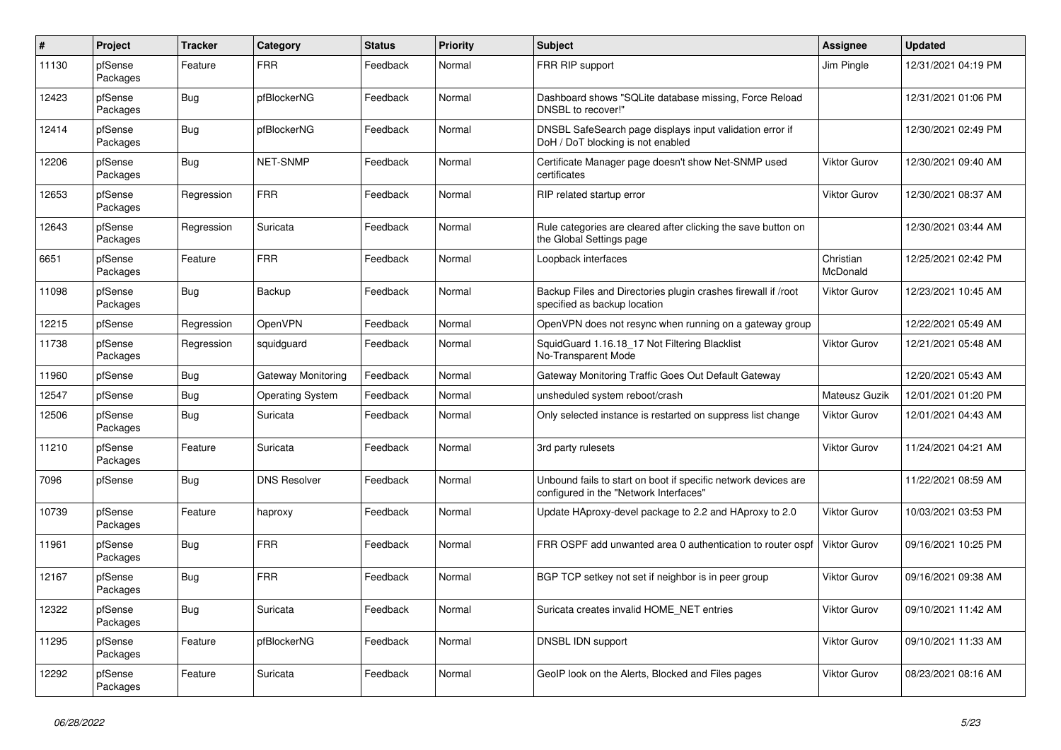| $\#$  | Project             | <b>Tracker</b> | Category                | <b>Status</b> | <b>Priority</b> | <b>Subject</b>                                                                                           | <b>Assignee</b>       | <b>Updated</b>      |
|-------|---------------------|----------------|-------------------------|---------------|-----------------|----------------------------------------------------------------------------------------------------------|-----------------------|---------------------|
| 11130 | pfSense<br>Packages | Feature        | <b>FRR</b>              | Feedback      | Normal          | FRR RIP support                                                                                          | Jim Pingle            | 12/31/2021 04:19 PM |
| 12423 | pfSense<br>Packages | <b>Bug</b>     | pfBlockerNG             | Feedback      | Normal          | Dashboard shows "SQLite database missing, Force Reload<br>DNSBL to recover!"                             |                       | 12/31/2021 01:06 PM |
| 12414 | pfSense<br>Packages | <b>Bug</b>     | pfBlockerNG             | Feedback      | Normal          | DNSBL SafeSearch page displays input validation error if<br>DoH / DoT blocking is not enabled            |                       | 12/30/2021 02:49 PM |
| 12206 | pfSense<br>Packages | Bug            | <b>NET-SNMP</b>         | Feedback      | Normal          | Certificate Manager page doesn't show Net-SNMP used<br>certificates                                      | Viktor Gurov          | 12/30/2021 09:40 AM |
| 12653 | pfSense<br>Packages | Regression     | <b>FRR</b>              | Feedback      | Normal          | RIP related startup error                                                                                | Viktor Gurov          | 12/30/2021 08:37 AM |
| 12643 | pfSense<br>Packages | Regression     | Suricata                | Feedback      | Normal          | Rule categories are cleared after clicking the save button on<br>the Global Settings page                |                       | 12/30/2021 03:44 AM |
| 6651  | pfSense<br>Packages | Feature        | <b>FRR</b>              | Feedback      | Normal          | Loopback interfaces                                                                                      | Christian<br>McDonald | 12/25/2021 02:42 PM |
| 11098 | pfSense<br>Packages | Bug            | Backup                  | Feedback      | Normal          | Backup Files and Directories plugin crashes firewall if /root<br>specified as backup location            | Viktor Gurov          | 12/23/2021 10:45 AM |
| 12215 | pfSense             | Regression     | OpenVPN                 | Feedback      | Normal          | OpenVPN does not resync when running on a gateway group                                                  |                       | 12/22/2021 05:49 AM |
| 11738 | pfSense<br>Packages | Regression     | squidguard              | Feedback      | Normal          | SquidGuard 1.16.18_17 Not Filtering Blacklist<br>No-Transparent Mode                                     | Viktor Gurov          | 12/21/2021 05:48 AM |
| 11960 | pfSense             | <b>Bug</b>     | Gateway Monitoring      | Feedback      | Normal          | Gateway Monitoring Traffic Goes Out Default Gateway                                                      |                       | 12/20/2021 05:43 AM |
| 12547 | pfSense             | <b>Bug</b>     | <b>Operating System</b> | Feedback      | Normal          | unsheduled system reboot/crash                                                                           | Mateusz Guzik         | 12/01/2021 01:20 PM |
| 12506 | pfSense<br>Packages | Bug            | Suricata                | Feedback      | Normal          | Only selected instance is restarted on suppress list change                                              | Viktor Gurov          | 12/01/2021 04:43 AM |
| 11210 | pfSense<br>Packages | Feature        | Suricata                | Feedback      | Normal          | 3rd party rulesets                                                                                       | <b>Viktor Gurov</b>   | 11/24/2021 04:21 AM |
| 7096  | pfSense             | Bug            | <b>DNS Resolver</b>     | Feedback      | Normal          | Unbound fails to start on boot if specific network devices are<br>configured in the "Network Interfaces" |                       | 11/22/2021 08:59 AM |
| 10739 | pfSense<br>Packages | Feature        | haproxy                 | Feedback      | Normal          | Update HAproxy-devel package to 2.2 and HAproxy to 2.0                                                   | Viktor Gurov          | 10/03/2021 03:53 PM |
| 11961 | pfSense<br>Packages | <b>Bug</b>     | <b>FRR</b>              | Feedback      | Normal          | FRR OSPF add unwanted area 0 authentication to router ospf                                               | <b>Viktor Gurov</b>   | 09/16/2021 10:25 PM |
| 12167 | pfSense<br>Packages | Bug            | <b>FRR</b>              | Feedback      | Normal          | BGP TCP setkey not set if neighbor is in peer group                                                      | Viktor Gurov          | 09/16/2021 09:38 AM |
| 12322 | pfSense<br>Packages | <b>Bug</b>     | Suricata                | Feedback      | Normal          | Suricata creates invalid HOME_NET entries                                                                | Viktor Gurov          | 09/10/2021 11:42 AM |
| 11295 | pfSense<br>Packages | Feature        | pfBlockerNG             | Feedback      | Normal          | DNSBL IDN support                                                                                        | Viktor Gurov          | 09/10/2021 11:33 AM |
| 12292 | pfSense<br>Packages | Feature        | Suricata                | Feedback      | Normal          | GeoIP look on the Alerts, Blocked and Files pages                                                        | Viktor Gurov          | 08/23/2021 08:16 AM |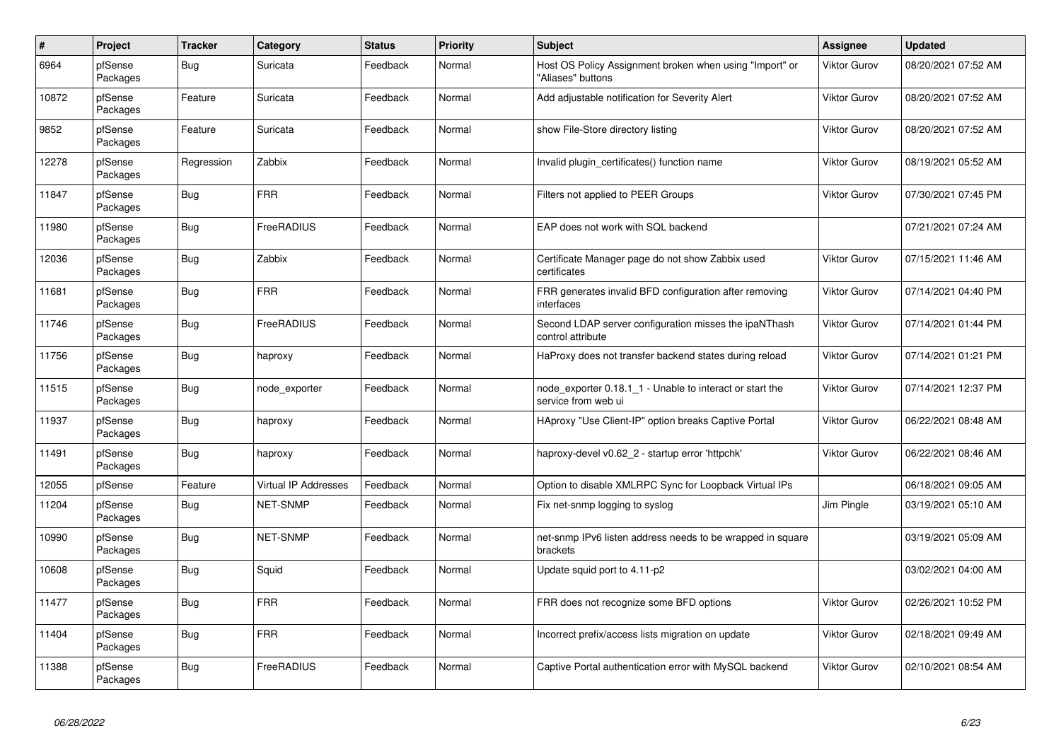| $\#$  | Project             | <b>Tracker</b> | Category                    | <b>Status</b> | <b>Priority</b> | <b>Subject</b>                                                                  | Assignee            | <b>Updated</b>      |
|-------|---------------------|----------------|-----------------------------|---------------|-----------------|---------------------------------------------------------------------------------|---------------------|---------------------|
| 6964  | pfSense<br>Packages | Bug            | Suricata                    | Feedback      | Normal          | Host OS Policy Assignment broken when using "Import" or<br>"Aliases" buttons    | Viktor Gurov        | 08/20/2021 07:52 AM |
| 10872 | pfSense<br>Packages | Feature        | Suricata                    | Feedback      | Normal          | Add adjustable notification for Severity Alert                                  | Viktor Gurov        | 08/20/2021 07:52 AM |
| 9852  | pfSense<br>Packages | Feature        | Suricata                    | Feedback      | Normal          | show File-Store directory listing                                               | Viktor Gurov        | 08/20/2021 07:52 AM |
| 12278 | pfSense<br>Packages | Regression     | Zabbix                      | Feedback      | Normal          | Invalid plugin_certificates() function name                                     | Viktor Gurov        | 08/19/2021 05:52 AM |
| 11847 | pfSense<br>Packages | Bug            | <b>FRR</b>                  | Feedback      | Normal          | Filters not applied to PEER Groups                                              | Viktor Gurov        | 07/30/2021 07:45 PM |
| 11980 | pfSense<br>Packages | <b>Bug</b>     | FreeRADIUS                  | Feedback      | Normal          | EAP does not work with SQL backend                                              |                     | 07/21/2021 07:24 AM |
| 12036 | pfSense<br>Packages | Bug            | Zabbix                      | Feedback      | Normal          | Certificate Manager page do not show Zabbix used<br>certificates                | <b>Viktor Gurov</b> | 07/15/2021 11:46 AM |
| 11681 | pfSense<br>Packages | Bug            | <b>FRR</b>                  | Feedback      | Normal          | FRR generates invalid BFD configuration after removing<br>interfaces            | Viktor Gurov        | 07/14/2021 04:40 PM |
| 11746 | pfSense<br>Packages | <b>Bug</b>     | FreeRADIUS                  | Feedback      | Normal          | Second LDAP server configuration misses the ipaNThash<br>control attribute      | <b>Viktor Gurov</b> | 07/14/2021 01:44 PM |
| 11756 | pfSense<br>Packages | <b>Bug</b>     | haproxy                     | Feedback      | Normal          | HaProxy does not transfer backend states during reload                          | <b>Viktor Gurov</b> | 07/14/2021 01:21 PM |
| 11515 | pfSense<br>Packages | Bug            | node exporter               | Feedback      | Normal          | node exporter 0.18.1 1 - Unable to interact or start the<br>service from web ui | Viktor Gurov        | 07/14/2021 12:37 PM |
| 11937 | pfSense<br>Packages | <b>Bug</b>     | haproxy                     | Feedback      | Normal          | HAproxy "Use Client-IP" option breaks Captive Portal                            | Viktor Gurov        | 06/22/2021 08:48 AM |
| 11491 | pfSense<br>Packages | Bug            | haproxy                     | Feedback      | Normal          | haproxy-devel v0.62_2 - startup error 'httpchk'                                 | Viktor Gurov        | 06/22/2021 08:46 AM |
| 12055 | pfSense             | Feature        | <b>Virtual IP Addresses</b> | Feedback      | Normal          | Option to disable XMLRPC Sync for Loopback Virtual IPs                          |                     | 06/18/2021 09:05 AM |
| 11204 | pfSense<br>Packages | <b>Bug</b>     | <b>NET-SNMP</b>             | Feedback      | Normal          | Fix net-snmp logging to syslog                                                  | Jim Pingle          | 03/19/2021 05:10 AM |
| 10990 | pfSense<br>Packages | Bug            | <b>NET-SNMP</b>             | Feedback      | Normal          | net-snmp IPv6 listen address needs to be wrapped in square<br>brackets          |                     | 03/19/2021 05:09 AM |
| 10608 | pfSense<br>Packages | Bug            | Squid                       | Feedback      | Normal          | Update squid port to 4.11-p2                                                    |                     | 03/02/2021 04:00 AM |
| 11477 | pfSense<br>Packages | Bug            | <b>FRR</b>                  | Feedback      | Normal          | FRR does not recognize some BFD options                                         | Viktor Gurov        | 02/26/2021 10:52 PM |
| 11404 | pfSense<br>Packages | Bug            | <b>FRR</b>                  | Feedback      | Normal          | Incorrect prefix/access lists migration on update                               | <b>Viktor Gurov</b> | 02/18/2021 09:49 AM |
| 11388 | pfSense<br>Packages | Bug            | FreeRADIUS                  | Feedback      | Normal          | Captive Portal authentication error with MySQL backend                          | Viktor Gurov        | 02/10/2021 08:54 AM |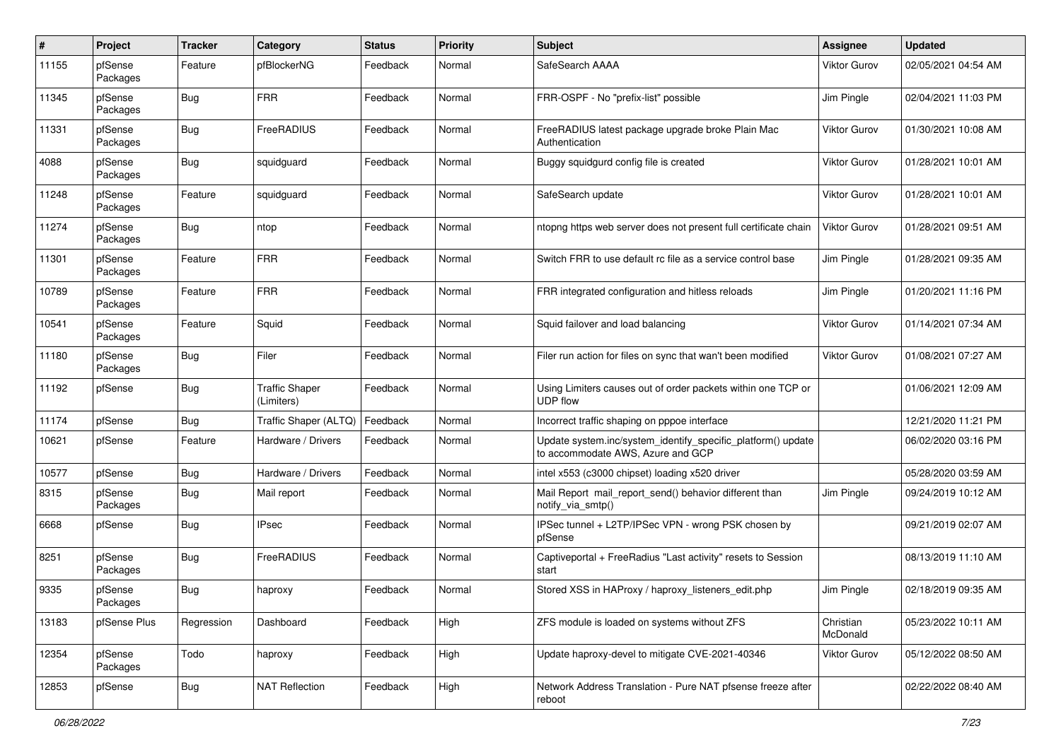| $\pmb{\#}$ | Project             | <b>Tracker</b> | Category                            | <b>Status</b> | <b>Priority</b> | <b>Subject</b>                                                                                    | <b>Assignee</b>       | <b>Updated</b>      |
|------------|---------------------|----------------|-------------------------------------|---------------|-----------------|---------------------------------------------------------------------------------------------------|-----------------------|---------------------|
| 11155      | pfSense<br>Packages | Feature        | pfBlockerNG                         | Feedback      | Normal          | SafeSearch AAAA                                                                                   | Viktor Gurov          | 02/05/2021 04:54 AM |
| 11345      | pfSense<br>Packages | <b>Bug</b>     | <b>FRR</b>                          | Feedback      | Normal          | FRR-OSPF - No "prefix-list" possible                                                              | Jim Pingle            | 02/04/2021 11:03 PM |
| 11331      | pfSense<br>Packages | <b>Bug</b>     | FreeRADIUS                          | Feedback      | Normal          | FreeRADIUS latest package upgrade broke Plain Mac<br>Authentication                               | Viktor Gurov          | 01/30/2021 10:08 AM |
| 4088       | pfSense<br>Packages | <b>Bug</b>     | squidguard                          | Feedback      | Normal          | Buggy squidgurd config file is created                                                            | Viktor Gurov          | 01/28/2021 10:01 AM |
| 11248      | pfSense<br>Packages | Feature        | squidguard                          | Feedback      | Normal          | SafeSearch update                                                                                 | Viktor Gurov          | 01/28/2021 10:01 AM |
| 11274      | pfSense<br>Packages | Bug            | ntop                                | Feedback      | Normal          | ntopng https web server does not present full certificate chain                                   | Viktor Gurov          | 01/28/2021 09:51 AM |
| 11301      | pfSense<br>Packages | Feature        | <b>FRR</b>                          | Feedback      | Normal          | Switch FRR to use default rc file as a service control base                                       | Jim Pingle            | 01/28/2021 09:35 AM |
| 10789      | pfSense<br>Packages | Feature        | <b>FRR</b>                          | Feedback      | Normal          | FRR integrated configuration and hitless reloads                                                  | Jim Pingle            | 01/20/2021 11:16 PM |
| 10541      | pfSense<br>Packages | Feature        | Squid                               | Feedback      | Normal          | Squid failover and load balancing                                                                 | Viktor Gurov          | 01/14/2021 07:34 AM |
| 11180      | pfSense<br>Packages | <b>Bug</b>     | Filer                               | Feedback      | Normal          | Filer run action for files on sync that wan't been modified                                       | Viktor Gurov          | 01/08/2021 07:27 AM |
| 11192      | pfSense             | <b>Bug</b>     | <b>Traffic Shaper</b><br>(Limiters) | Feedback      | Normal          | Using Limiters causes out of order packets within one TCP or<br><b>UDP flow</b>                   |                       | 01/06/2021 12:09 AM |
| 11174      | pfSense             | Bug            | Traffic Shaper (ALTQ)               | Feedback      | Normal          | Incorrect traffic shaping on pppoe interface                                                      |                       | 12/21/2020 11:21 PM |
| 10621      | pfSense             | Feature        | Hardware / Drivers                  | Feedback      | Normal          | Update system.inc/system_identify_specific_platform() update<br>to accommodate AWS, Azure and GCP |                       | 06/02/2020 03:16 PM |
| 10577      | pfSense             | <b>Bug</b>     | Hardware / Drivers                  | Feedback      | Normal          | intel x553 (c3000 chipset) loading x520 driver                                                    |                       | 05/28/2020 03:59 AM |
| 8315       | pfSense<br>Packages | <b>Bug</b>     | Mail report                         | Feedback      | Normal          | Mail Report mail_report_send() behavior different than<br>notify via smtp()                       | Jim Pingle            | 09/24/2019 10:12 AM |
| 6668       | pfSense             | <b>Bug</b>     | <b>IPsec</b>                        | Feedback      | Normal          | IPSec tunnel + L2TP/IPSec VPN - wrong PSK chosen by<br>pfSense                                    |                       | 09/21/2019 02:07 AM |
| 8251       | pfSense<br>Packages | <b>Bug</b>     | FreeRADIUS                          | Feedback      | Normal          | Captiveportal + FreeRadius "Last activity" resets to Session<br>start                             |                       | 08/13/2019 11:10 AM |
| 9335       | pfSense<br>Packages | Bug            | haproxy                             | Feedback      | Normal          | Stored XSS in HAProxy / haproxy listeners edit.php                                                | Jim Pingle            | 02/18/2019 09:35 AM |
| 13183      | pfSense Plus        | Regression     | Dashboard                           | Feedback      | High            | ZFS module is loaded on systems without ZFS                                                       | Christian<br>McDonald | 05/23/2022 10:11 AM |
| 12354      | pfSense<br>Packages | Todo           | haproxy                             | Feedback      | High            | Update haproxy-devel to mitigate CVE-2021-40346                                                   | Viktor Gurov          | 05/12/2022 08:50 AM |
| 12853      | pfSense             | <b>Bug</b>     | <b>NAT Reflection</b>               | Feedback      | High            | Network Address Translation - Pure NAT pfsense freeze after<br>reboot                             |                       | 02/22/2022 08:40 AM |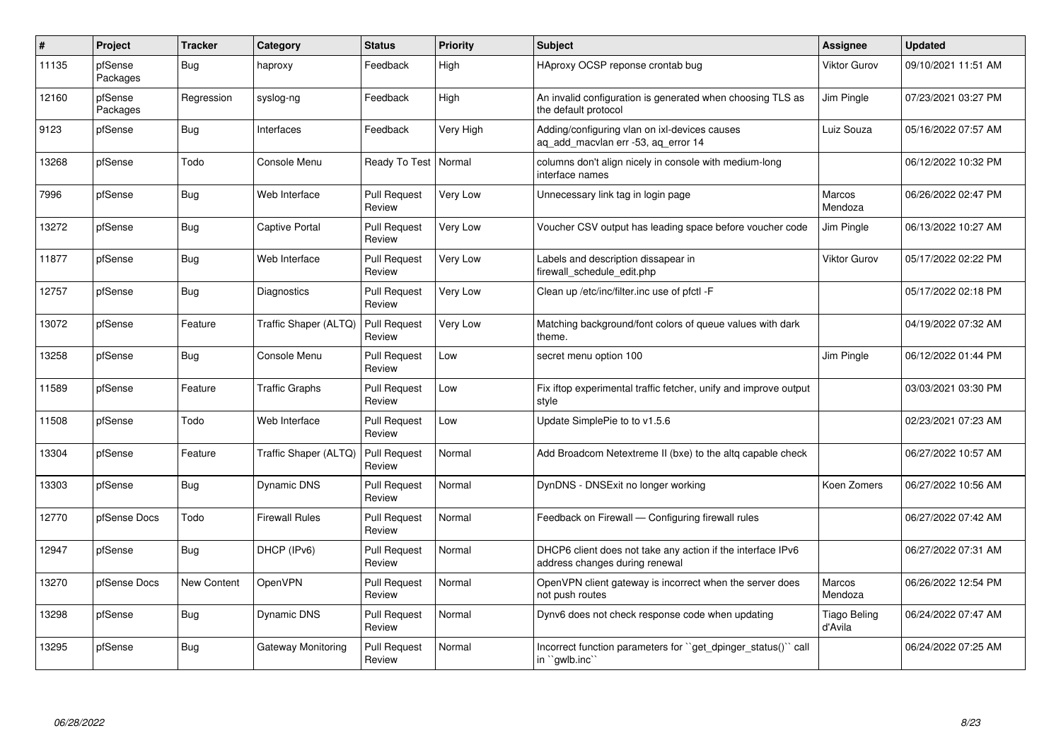| #     | Project             | <b>Tracker</b>     | Category              | <b>Status</b>                 | <b>Priority</b> | <b>Subject</b>                                                                                | Assignee                 | <b>Updated</b>      |
|-------|---------------------|--------------------|-----------------------|-------------------------------|-----------------|-----------------------------------------------------------------------------------------------|--------------------------|---------------------|
| 11135 | pfSense<br>Packages | Bug                | haproxy               | Feedback                      | High            | HAproxy OCSP reponse crontab bug                                                              | <b>Viktor Gurov</b>      | 09/10/2021 11:51 AM |
| 12160 | pfSense<br>Packages | Regression         | syslog-ng             | Feedback                      | High            | An invalid configuration is generated when choosing TLS as<br>the default protocol            | Jim Pingle               | 07/23/2021 03:27 PM |
| 9123  | pfSense             | Bug                | Interfaces            | Feedback                      | Very High       | Adding/configuring vlan on ixl-devices causes<br>ag add macvlan err -53, ag error 14          | Luiz Souza               | 05/16/2022 07:57 AM |
| 13268 | pfSense             | Todo               | Console Menu          | Ready To Test                 | Normal          | columns don't align nicely in console with medium-long<br>interface names                     |                          | 06/12/2022 10:32 PM |
| 7996  | pfSense             | Bug                | Web Interface         | <b>Pull Request</b><br>Review | Very Low        | Unnecessary link tag in login page                                                            | <b>Marcos</b><br>Mendoza | 06/26/2022 02:47 PM |
| 13272 | pfSense             | Bug                | Captive Portal        | <b>Pull Request</b><br>Review | Very Low        | Voucher CSV output has leading space before voucher code                                      | Jim Pingle               | 06/13/2022 10:27 AM |
| 11877 | pfSense             | <b>Bug</b>         | Web Interface         | <b>Pull Request</b><br>Review | <b>Very Low</b> | Labels and description dissapear in<br>firewall schedule edit.php                             | <b>Viktor Gurov</b>      | 05/17/2022 02:22 PM |
| 12757 | pfSense             | Bug                | Diagnostics           | <b>Pull Request</b><br>Review | Very Low        | Clean up /etc/inc/filter.inc use of pfctl -F                                                  |                          | 05/17/2022 02:18 PM |
| 13072 | pfSense             | Feature            | Traffic Shaper (ALTQ) | <b>Pull Request</b><br>Review | Very Low        | Matching background/font colors of queue values with dark<br>theme.                           |                          | 04/19/2022 07:32 AM |
| 13258 | pfSense             | <b>Bug</b>         | Console Menu          | <b>Pull Request</b><br>Review | Low             | secret menu option 100                                                                        | Jim Pingle               | 06/12/2022 01:44 PM |
| 11589 | pfSense             | Feature            | <b>Traffic Graphs</b> | <b>Pull Request</b><br>Review | Low             | Fix iftop experimental traffic fetcher, unify and improve output<br>style                     |                          | 03/03/2021 03:30 PM |
| 11508 | pfSense             | Todo               | Web Interface         | <b>Pull Request</b><br>Review | Low             | Update SimplePie to to v1.5.6                                                                 |                          | 02/23/2021 07:23 AM |
| 13304 | pfSense             | Feature            | Traffic Shaper (ALTQ) | <b>Pull Request</b><br>Review | Normal          | Add Broadcom Netextreme II (bxe) to the altg capable check                                    |                          | 06/27/2022 10:57 AM |
| 13303 | pfSense             | Bug                | <b>Dynamic DNS</b>    | <b>Pull Request</b><br>Review | Normal          | DynDNS - DNSExit no longer working                                                            | Koen Zomers              | 06/27/2022 10:56 AM |
| 12770 | pfSense Docs        | Todo               | Firewall Rules        | <b>Pull Request</b><br>Review | Normal          | Feedback on Firewall - Configuring firewall rules                                             |                          | 06/27/2022 07:42 AM |
| 12947 | pfSense             | Bug                | DHCP (IPv6)           | <b>Pull Request</b><br>Review | Normal          | DHCP6 client does not take any action if the interface IPv6<br>address changes during renewal |                          | 06/27/2022 07:31 AM |
| 13270 | pfSense Docs        | <b>New Content</b> | OpenVPN               | <b>Pull Request</b><br>Review | Normal          | OpenVPN client gateway is incorrect when the server does<br>not push routes                   | Marcos<br>Mendoza        | 06/26/2022 12:54 PM |
| 13298 | pfSense             | <b>Bug</b>         | Dynamic DNS           | <b>Pull Request</b><br>Review | Normal          | Dynv6 does not check response code when updating                                              | Tiago Beling<br>d'Avila  | 06/24/2022 07:47 AM |
| 13295 | pfSense             | Bug                | Gateway Monitoring    | <b>Pull Request</b><br>Review | Normal          | Incorrect function parameters for "get dpinger status()" call<br>in ``gwlb.inc``              |                          | 06/24/2022 07:25 AM |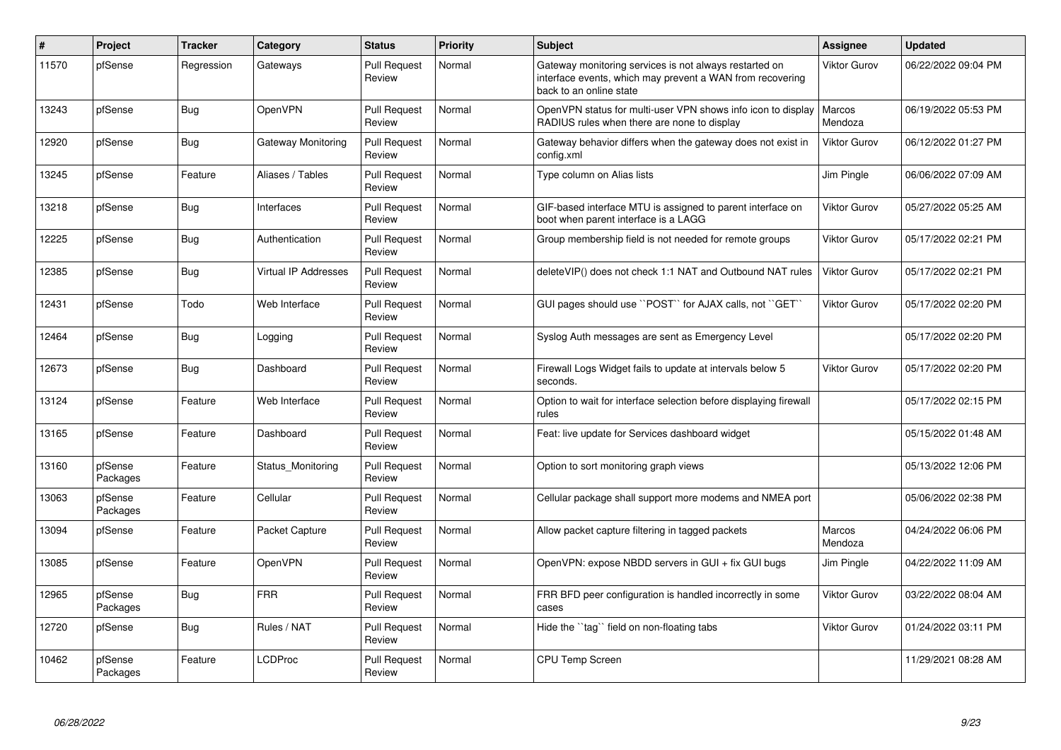| #     | Project             | <b>Tracker</b> | Category             | <b>Status</b>                 | <b>Priority</b> | <b>Subject</b>                                                                                                                                 | Assignee            | <b>Updated</b>      |
|-------|---------------------|----------------|----------------------|-------------------------------|-----------------|------------------------------------------------------------------------------------------------------------------------------------------------|---------------------|---------------------|
| 11570 | pfSense             | Regression     | Gateways             | <b>Pull Request</b><br>Review | Normal          | Gateway monitoring services is not always restarted on<br>interface events, which may prevent a WAN from recovering<br>back to an online state | Viktor Gurov        | 06/22/2022 09:04 PM |
| 13243 | pfSense             | Bug            | OpenVPN              | <b>Pull Request</b><br>Review | Normal          | OpenVPN status for multi-user VPN shows info icon to display<br>RADIUS rules when there are none to display                                    | Marcos<br>Mendoza   | 06/19/2022 05:53 PM |
| 12920 | pfSense             | <b>Bug</b>     | Gateway Monitoring   | <b>Pull Request</b><br>Review | Normal          | Gateway behavior differs when the gateway does not exist in<br>config.xml                                                                      | Viktor Gurov        | 06/12/2022 01:27 PM |
| 13245 | pfSense             | Feature        | Aliases / Tables     | <b>Pull Request</b><br>Review | Normal          | Type column on Alias lists                                                                                                                     | Jim Pingle          | 06/06/2022 07:09 AM |
| 13218 | pfSense             | Bug            | Interfaces           | <b>Pull Request</b><br>Review | Normal          | GIF-based interface MTU is assigned to parent interface on<br>boot when parent interface is a LAGG                                             | <b>Viktor Gurov</b> | 05/27/2022 05:25 AM |
| 12225 | pfSense             | Bug            | Authentication       | <b>Pull Request</b><br>Review | Normal          | Group membership field is not needed for remote groups                                                                                         | Viktor Gurov        | 05/17/2022 02:21 PM |
| 12385 | pfSense             | <b>Bug</b>     | Virtual IP Addresses | <b>Pull Request</b><br>Review | Normal          | deleteVIP() does not check 1:1 NAT and Outbound NAT rules                                                                                      | Viktor Gurov        | 05/17/2022 02:21 PM |
| 12431 | pfSense             | Todo           | Web Interface        | <b>Pull Request</b><br>Review | Normal          | GUI pages should use "POST" for AJAX calls, not "GET"                                                                                          | <b>Viktor Gurov</b> | 05/17/2022 02:20 PM |
| 12464 | pfSense             | Bug            | Logging              | <b>Pull Request</b><br>Review | Normal          | Syslog Auth messages are sent as Emergency Level                                                                                               |                     | 05/17/2022 02:20 PM |
| 12673 | pfSense             | Bug            | Dashboard            | <b>Pull Request</b><br>Review | Normal          | Firewall Logs Widget fails to update at intervals below 5<br>seconds.                                                                          | Viktor Gurov        | 05/17/2022 02:20 PM |
| 13124 | pfSense             | Feature        | Web Interface        | <b>Pull Request</b><br>Review | Normal          | Option to wait for interface selection before displaying firewall<br>rules                                                                     |                     | 05/17/2022 02:15 PM |
| 13165 | pfSense             | Feature        | Dashboard            | <b>Pull Request</b><br>Review | Normal          | Feat: live update for Services dashboard widget                                                                                                |                     | 05/15/2022 01:48 AM |
| 13160 | pfSense<br>Packages | Feature        | Status Monitoring    | <b>Pull Request</b><br>Review | Normal          | Option to sort monitoring graph views                                                                                                          |                     | 05/13/2022 12:06 PM |
| 13063 | pfSense<br>Packages | Feature        | Cellular             | <b>Pull Request</b><br>Review | Normal          | Cellular package shall support more modems and NMEA port                                                                                       |                     | 05/06/2022 02:38 PM |
| 13094 | pfSense             | Feature        | Packet Capture       | <b>Pull Request</b><br>Review | Normal          | Allow packet capture filtering in tagged packets                                                                                               | Marcos<br>Mendoza   | 04/24/2022 06:06 PM |
| 13085 | pfSense             | Feature        | OpenVPN              | <b>Pull Request</b><br>Review | Normal          | OpenVPN: expose NBDD servers in GUI + fix GUI bugs                                                                                             | Jim Pingle          | 04/22/2022 11:09 AM |
| 12965 | pfSense<br>Packages | Bug            | <b>FRR</b>           | <b>Pull Request</b><br>Review | Normal          | FRR BFD peer configuration is handled incorrectly in some<br>cases                                                                             | Viktor Gurov        | 03/22/2022 08:04 AM |
| 12720 | pfSense             | Bug            | Rules / NAT          | <b>Pull Request</b><br>Review | Normal          | Hide the "tag" field on non-floating tabs                                                                                                      | Viktor Gurov        | 01/24/2022 03:11 PM |
| 10462 | pfSense<br>Packages | Feature        | LCDProc              | <b>Pull Request</b><br>Review | Normal          | <b>CPU Temp Screen</b>                                                                                                                         |                     | 11/29/2021 08:28 AM |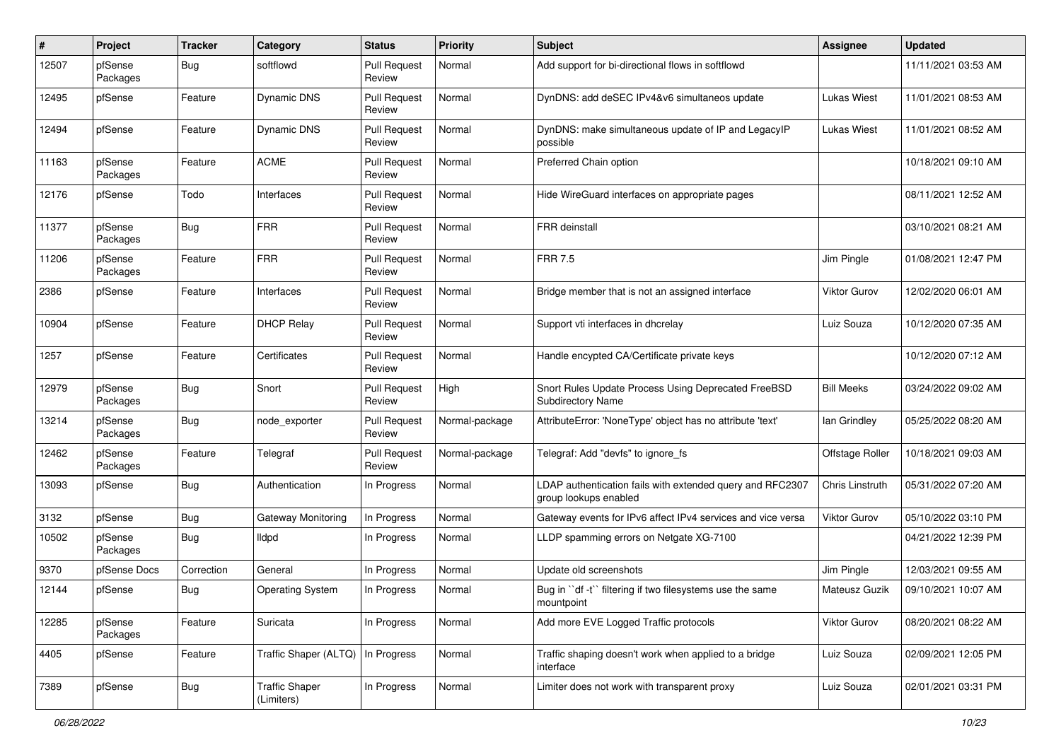| #     | Project             | <b>Tracker</b> | Category                            | <b>Status</b>                 | <b>Priority</b> | <b>Subject</b>                                                                     | Assignee               | <b>Updated</b>      |
|-------|---------------------|----------------|-------------------------------------|-------------------------------|-----------------|------------------------------------------------------------------------------------|------------------------|---------------------|
| 12507 | pfSense<br>Packages | <b>Bug</b>     | softflowd                           | <b>Pull Request</b><br>Review | Normal          | Add support for bi-directional flows in softflowd                                  |                        | 11/11/2021 03:53 AM |
| 12495 | pfSense             | Feature        | Dynamic DNS                         | <b>Pull Request</b><br>Review | Normal          | DynDNS: add deSEC IPv4&v6 simultaneos update                                       | Lukas Wiest            | 11/01/2021 08:53 AM |
| 12494 | pfSense             | Feature        | Dynamic DNS                         | <b>Pull Request</b><br>Review | Normal          | DynDNS: make simultaneous update of IP and LegacyIP<br>possible                    | <b>Lukas Wiest</b>     | 11/01/2021 08:52 AM |
| 11163 | pfSense<br>Packages | Feature        | <b>ACME</b>                         | <b>Pull Request</b><br>Review | Normal          | Preferred Chain option                                                             |                        | 10/18/2021 09:10 AM |
| 12176 | pfSense             | Todo           | Interfaces                          | <b>Pull Request</b><br>Review | Normal          | Hide WireGuard interfaces on appropriate pages                                     |                        | 08/11/2021 12:52 AM |
| 11377 | pfSense<br>Packages | <b>Bug</b>     | <b>FRR</b>                          | <b>Pull Request</b><br>Review | Normal          | FRR deinstall                                                                      |                        | 03/10/2021 08:21 AM |
| 11206 | pfSense<br>Packages | Feature        | <b>FRR</b>                          | <b>Pull Request</b><br>Review | Normal          | <b>FRR 7.5</b>                                                                     | Jim Pingle             | 01/08/2021 12:47 PM |
| 2386  | pfSense             | Feature        | Interfaces                          | <b>Pull Request</b><br>Review | Normal          | Bridge member that is not an assigned interface                                    | <b>Viktor Gurov</b>    | 12/02/2020 06:01 AM |
| 10904 | pfSense             | Feature        | <b>DHCP Relay</b>                   | <b>Pull Request</b><br>Review | Normal          | Support vti interfaces in dhcrelay                                                 | Luiz Souza             | 10/12/2020 07:35 AM |
| 1257  | pfSense             | Feature        | Certificates                        | <b>Pull Request</b><br>Review | Normal          | Handle encypted CA/Certificate private keys                                        |                        | 10/12/2020 07:12 AM |
| 12979 | pfSense<br>Packages | <b>Bug</b>     | Snort                               | <b>Pull Request</b><br>Review | High            | Snort Rules Update Process Using Deprecated FreeBSD<br>Subdirectory Name           | <b>Bill Meeks</b>      | 03/24/2022 09:02 AM |
| 13214 | pfSense<br>Packages | <b>Bug</b>     | node_exporter                       | <b>Pull Request</b><br>Review | Normal-package  | AttributeError: 'NoneType' object has no attribute 'text'                          | lan Grindley           | 05/25/2022 08:20 AM |
| 12462 | pfSense<br>Packages | Feature        | Telegraf                            | <b>Pull Request</b><br>Review | Normal-package  | Telegraf: Add "devfs" to ignore fs                                                 | Offstage Roller        | 10/18/2021 09:03 AM |
| 13093 | pfSense             | <b>Bug</b>     | Authentication                      | In Progress                   | Normal          | LDAP authentication fails with extended query and RFC2307<br>group lookups enabled | <b>Chris Linstruth</b> | 05/31/2022 07:20 AM |
| 3132  | pfSense             | <b>Bug</b>     | Gateway Monitoring                  | In Progress                   | Normal          | Gateway events for IPv6 affect IPv4 services and vice versa                        | Viktor Gurov           | 05/10/2022 03:10 PM |
| 10502 | pfSense<br>Packages | <b>Bug</b>     | lldpd                               | In Progress                   | Normal          | LLDP spamming errors on Netgate XG-7100                                            |                        | 04/21/2022 12:39 PM |
| 9370  | pfSense Docs        | Correction     | General                             | In Progress                   | Normal          | Update old screenshots                                                             | Jim Pingle             | 12/03/2021 09:55 AM |
| 12144 | pfSense             | Bug            | <b>Operating System</b>             | In Progress                   | Normal          | Bug in "df -t" filtering if two filesystems use the same<br>mountpoint             | Mateusz Guzik          | 09/10/2021 10:07 AM |
| 12285 | pfSense<br>Packages | Feature        | Suricata                            | In Progress                   | Normal          | Add more EVE Logged Traffic protocols                                              | Viktor Gurov           | 08/20/2021 08:22 AM |
| 4405  | pfSense             | Feature        | Traffic Shaper (ALTQ)               | In Progress                   | Normal          | Traffic shaping doesn't work when applied to a bridge<br>interface                 | Luiz Souza             | 02/09/2021 12:05 PM |
| 7389  | pfSense             | <b>Bug</b>     | <b>Traffic Shaper</b><br>(Limiters) | In Progress                   | Normal          | Limiter does not work with transparent proxy                                       | Luiz Souza             | 02/01/2021 03:31 PM |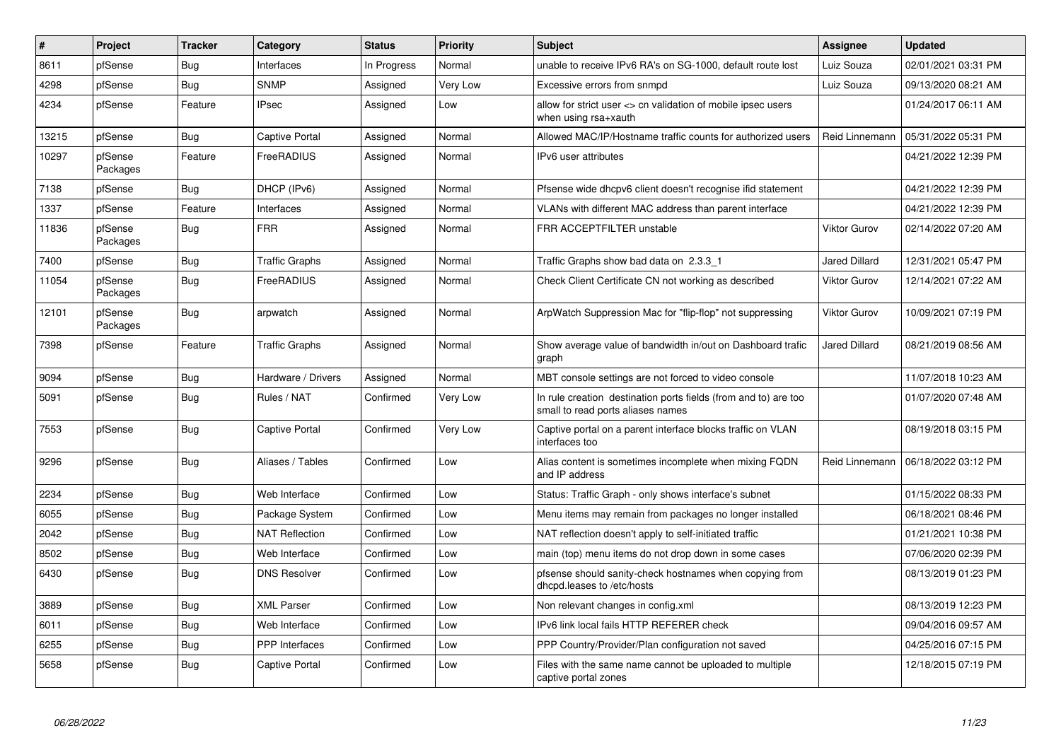| #     | Project             | <b>Tracker</b> | Category              | <b>Status</b> | Priority | <b>Subject</b>                                                                                       | <b>Assignee</b>      | <b>Updated</b>      |
|-------|---------------------|----------------|-----------------------|---------------|----------|------------------------------------------------------------------------------------------------------|----------------------|---------------------|
| 8611  | pfSense             | Bug            | Interfaces            | In Progress   | Normal   | unable to receive IPv6 RA's on SG-1000, default route lost                                           | Luiz Souza           | 02/01/2021 03:31 PM |
| 4298  | pfSense             | <b>Bug</b>     | <b>SNMP</b>           | Assigned      | Very Low | Excessive errors from snmpd                                                                          | Luiz Souza           | 09/13/2020 08:21 AM |
| 4234  | pfSense             | Feature        | IPsec                 | Assigned      | Low      | allow for strict user <> cn validation of mobile ipsec users<br>when using rsa+xauth                 |                      | 01/24/2017 06:11 AM |
| 13215 | pfSense             | Bug            | Captive Portal        | Assigned      | Normal   | Allowed MAC/IP/Hostname traffic counts for authorized users                                          | Reid Linnemann       | 05/31/2022 05:31 PM |
| 10297 | pfSense<br>Packages | Feature        | FreeRADIUS            | Assigned      | Normal   | IPv6 user attributes                                                                                 |                      | 04/21/2022 12:39 PM |
| 7138  | pfSense             | <b>Bug</b>     | DHCP (IPv6)           | Assigned      | Normal   | Pfsense wide dhcpv6 client doesn't recognise ifid statement                                          |                      | 04/21/2022 12:39 PM |
| 1337  | pfSense             | Feature        | Interfaces            | Assigned      | Normal   | VLANs with different MAC address than parent interface                                               |                      | 04/21/2022 12:39 PM |
| 11836 | pfSense<br>Packages | <b>Bug</b>     | FRR                   | Assigned      | Normal   | FRR ACCEPTFILTER unstable                                                                            | Viktor Gurov         | 02/14/2022 07:20 AM |
| 7400  | pfSense             | <b>Bug</b>     | <b>Traffic Graphs</b> | Assigned      | Normal   | Traffic Graphs show bad data on 2.3.3 1                                                              | <b>Jared Dillard</b> | 12/31/2021 05:47 PM |
| 11054 | pfSense<br>Packages | <b>Bug</b>     | FreeRADIUS            | Assigned      | Normal   | Check Client Certificate CN not working as described                                                 | Viktor Gurov         | 12/14/2021 07:22 AM |
| 12101 | pfSense<br>Packages | Bug            | arpwatch              | Assigned      | Normal   | ArpWatch Suppression Mac for "flip-flop" not suppressing                                             | <b>Viktor Gurov</b>  | 10/09/2021 07:19 PM |
| 7398  | pfSense             | Feature        | <b>Traffic Graphs</b> | Assigned      | Normal   | Show average value of bandwidth in/out on Dashboard trafic<br>graph                                  | <b>Jared Dillard</b> | 08/21/2019 08:56 AM |
| 9094  | pfSense             | <b>Bug</b>     | Hardware / Drivers    | Assigned      | Normal   | MBT console settings are not forced to video console                                                 |                      | 11/07/2018 10:23 AM |
| 5091  | pfSense             | <b>Bug</b>     | Rules / NAT           | Confirmed     | Very Low | In rule creation destination ports fields (from and to) are too<br>small to read ports aliases names |                      | 01/07/2020 07:48 AM |
| 7553  | pfSense             | Bug            | Captive Portal        | Confirmed     | Very Low | Captive portal on a parent interface blocks traffic on VLAN<br>interfaces too                        |                      | 08/19/2018 03:15 PM |
| 9296  | pfSense             | Bug            | Aliases / Tables      | Confirmed     | Low      | Alias content is sometimes incomplete when mixing FQDN<br>and IP address                             | Reid Linnemann       | 06/18/2022 03:12 PM |
| 2234  | pfSense             | <b>Bug</b>     | Web Interface         | Confirmed     | Low      | Status: Traffic Graph - only shows interface's subnet                                                |                      | 01/15/2022 08:33 PM |
| 6055  | pfSense             | Bug            | Package System        | Confirmed     | Low      | Menu items may remain from packages no longer installed                                              |                      | 06/18/2021 08:46 PM |
| 2042  | pfSense             | <b>Bug</b>     | <b>NAT Reflection</b> | Confirmed     | Low      | NAT reflection doesn't apply to self-initiated traffic                                               |                      | 01/21/2021 10:38 PM |
| 8502  | pfSense             | <b>Bug</b>     | Web Interface         | Confirmed     | Low      | main (top) menu items do not drop down in some cases                                                 |                      | 07/06/2020 02:39 PM |
| 6430  | pfSense             | Bug            | <b>DNS Resolver</b>   | Confirmed     | Low      | pfsense should sanity-check hostnames when copying from<br>dhcpd.leases to /etc/hosts                |                      | 08/13/2019 01:23 PM |
| 3889  | pfSense             | <b>Bug</b>     | <b>XML Parser</b>     | Confirmed     | Low      | Non relevant changes in config.xml                                                                   |                      | 08/13/2019 12:23 PM |
| 6011  | pfSense             | <b>Bug</b>     | Web Interface         | Confirmed     | Low      | IPv6 link local fails HTTP REFERER check                                                             |                      | 09/04/2016 09:57 AM |
| 6255  | pfSense             | <b>Bug</b>     | PPP Interfaces        | Confirmed     | Low      | PPP Country/Provider/Plan configuration not saved                                                    |                      | 04/25/2016 07:15 PM |
| 5658  | pfSense             | Bug            | Captive Portal        | Confirmed     | Low      | Files with the same name cannot be uploaded to multiple<br>captive portal zones                      |                      | 12/18/2015 07:19 PM |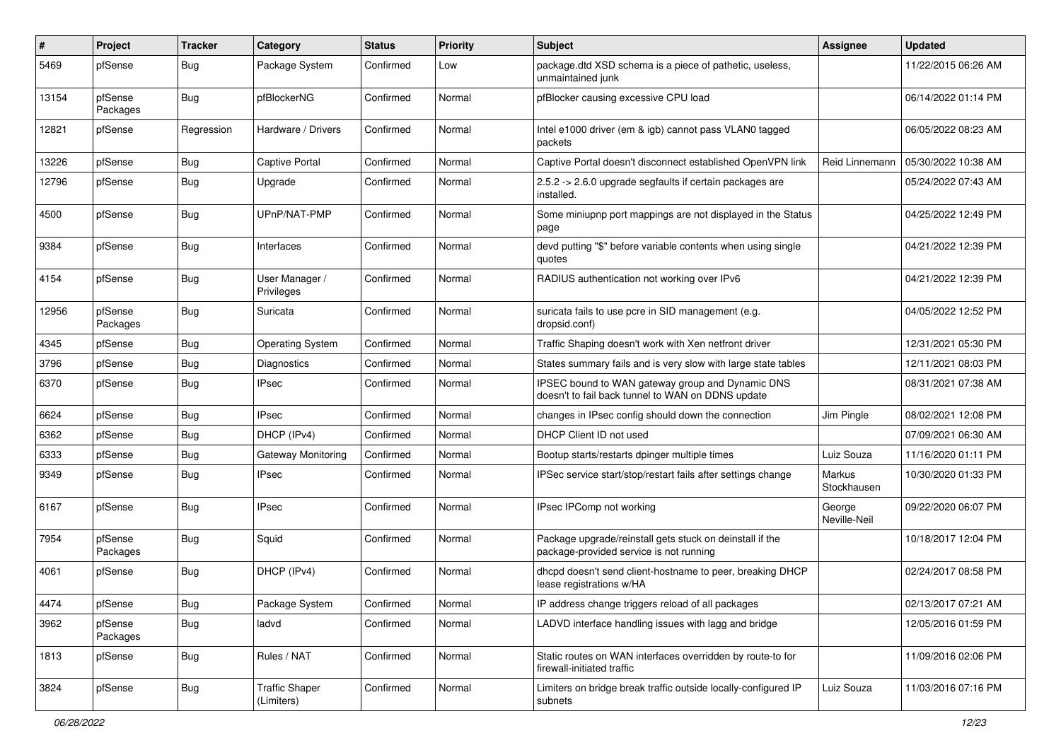| ∦     | Project             | Tracker    | Category                            | <b>Status</b> | <b>Priority</b> | <b>Subject</b>                                                                                        | Assignee               | <b>Updated</b>      |
|-------|---------------------|------------|-------------------------------------|---------------|-----------------|-------------------------------------------------------------------------------------------------------|------------------------|---------------------|
| 5469  | pfSense             | <b>Bug</b> | Package System                      | Confirmed     | Low             | package.dtd XSD schema is a piece of pathetic, useless,<br>unmaintained junk                          |                        | 11/22/2015 06:26 AM |
| 13154 | pfSense<br>Packages | <b>Bug</b> | pfBlockerNG                         | Confirmed     | Normal          | pfBlocker causing excessive CPU load                                                                  |                        | 06/14/2022 01:14 PM |
| 12821 | pfSense             | Regression | Hardware / Drivers                  | Confirmed     | Normal          | Intel e1000 driver (em & igb) cannot pass VLAN0 tagged<br>packets                                     |                        | 06/05/2022 08:23 AM |
| 13226 | pfSense             | <b>Bug</b> | <b>Captive Portal</b>               | Confirmed     | Normal          | Captive Portal doesn't disconnect established OpenVPN link                                            | Reid Linnemann         | 05/30/2022 10:38 AM |
| 12796 | pfSense             | <b>Bug</b> | Upgrade                             | Confirmed     | Normal          | 2.5.2 -> 2.6.0 upgrade segfaults if certain packages are<br>installed.                                |                        | 05/24/2022 07:43 AM |
| 4500  | pfSense             | <b>Bug</b> | UPnP/NAT-PMP                        | Confirmed     | Normal          | Some miniupnp port mappings are not displayed in the Status<br>page                                   |                        | 04/25/2022 12:49 PM |
| 9384  | pfSense             | <b>Bug</b> | Interfaces                          | Confirmed     | Normal          | devd putting "\$" before variable contents when using single<br>quotes                                |                        | 04/21/2022 12:39 PM |
| 4154  | pfSense             | <b>Bug</b> | User Manager /<br>Privileges        | Confirmed     | Normal          | RADIUS authentication not working over IPv6                                                           |                        | 04/21/2022 12:39 PM |
| 12956 | pfSense<br>Packages | <b>Bug</b> | Suricata                            | Confirmed     | Normal          | suricata fails to use pcre in SID management (e.g.<br>dropsid.conf)                                   |                        | 04/05/2022 12:52 PM |
| 4345  | pfSense             | <b>Bug</b> | <b>Operating System</b>             | Confirmed     | Normal          | Traffic Shaping doesn't work with Xen netfront driver                                                 |                        | 12/31/2021 05:30 PM |
| 3796  | pfSense             | <b>Bug</b> | Diagnostics                         | Confirmed     | Normal          | States summary fails and is very slow with large state tables                                         |                        | 12/11/2021 08:03 PM |
| 6370  | pfSense             | <b>Bug</b> | <b>IPsec</b>                        | Confirmed     | Normal          | IPSEC bound to WAN gateway group and Dynamic DNS<br>doesn't to fail back tunnel to WAN on DDNS update |                        | 08/31/2021 07:38 AM |
| 6624  | pfSense             | <b>Bug</b> | <b>IPsec</b>                        | Confirmed     | Normal          | changes in IPsec config should down the connection                                                    | Jim Pingle             | 08/02/2021 12:08 PM |
| 6362  | pfSense             | <b>Bug</b> | DHCP (IPv4)                         | Confirmed     | Normal          | DHCP Client ID not used                                                                               |                        | 07/09/2021 06:30 AM |
| 6333  | pfSense             | <b>Bug</b> | Gateway Monitoring                  | Confirmed     | Normal          | Bootup starts/restarts dpinger multiple times                                                         | Luiz Souza             | 11/16/2020 01:11 PM |
| 9349  | pfSense             | <b>Bug</b> | <b>IPsec</b>                        | Confirmed     | Normal          | IPSec service start/stop/restart fails after settings change                                          | Markus<br>Stockhausen  | 10/30/2020 01:33 PM |
| 6167  | pfSense             | <b>Bug</b> | <b>IPsec</b>                        | Confirmed     | Normal          | IPsec IPComp not working                                                                              | George<br>Neville-Neil | 09/22/2020 06:07 PM |
| 7954  | pfSense<br>Packages | <b>Bug</b> | Squid                               | Confirmed     | Normal          | Package upgrade/reinstall gets stuck on deinstall if the<br>package-provided service is not running   |                        | 10/18/2017 12:04 PM |
| 4061  | pfSense             | <b>Bug</b> | DHCP (IPv4)                         | Confirmed     | Normal          | dhcpd doesn't send client-hostname to peer, breaking DHCP<br>lease registrations w/HA                 |                        | 02/24/2017 08:58 PM |
| 4474  | pfSense             | <b>Bug</b> | Package System                      | Confirmed     | Normal          | IP address change triggers reload of all packages                                                     |                        | 02/13/2017 07:21 AM |
| 3962  | pfSense<br>Packages | <b>Bug</b> | ladvd                               | Confirmed     | Normal          | LADVD interface handling issues with lagg and bridge                                                  |                        | 12/05/2016 01:59 PM |
| 1813  | pfSense             | <b>Bug</b> | Rules / NAT                         | Confirmed     | Normal          | Static routes on WAN interfaces overridden by route-to for<br>firewall-initiated traffic              |                        | 11/09/2016 02:06 PM |
| 3824  | pfSense             | <b>Bug</b> | <b>Traffic Shaper</b><br>(Limiters) | Confirmed     | Normal          | Limiters on bridge break traffic outside locally-configured IP<br>subnets                             | Luiz Souza             | 11/03/2016 07:16 PM |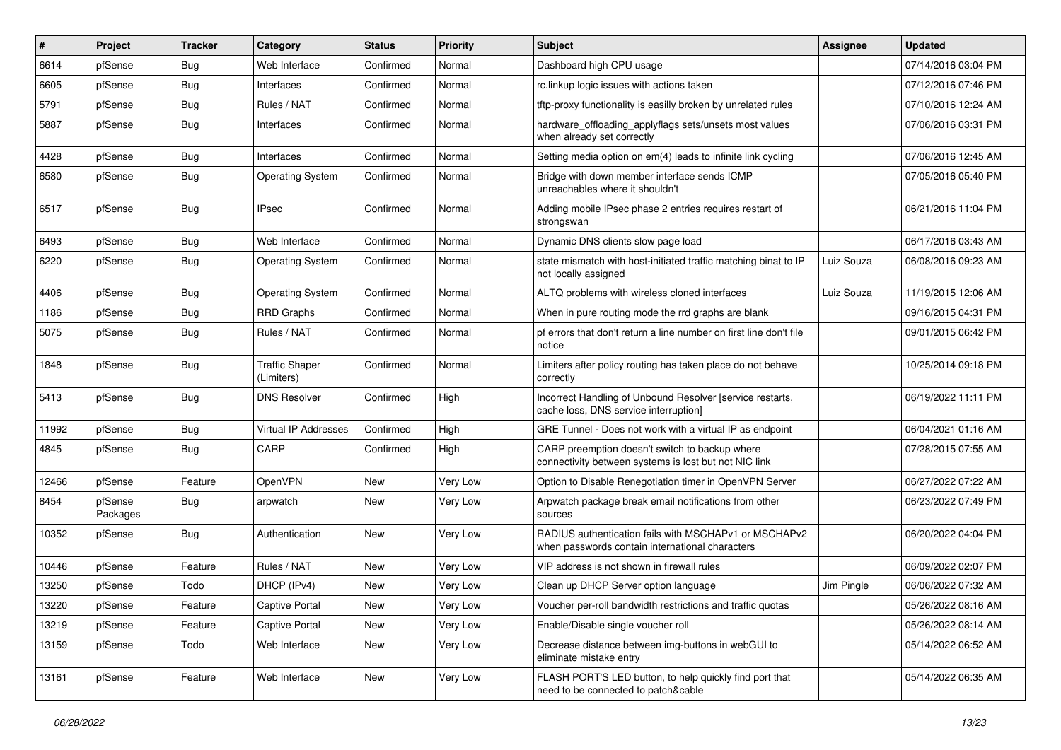| #     | Project             | <b>Tracker</b> | Category                            | <b>Status</b> | <b>Priority</b> | Subject                                                                                                  | <b>Assignee</b> | <b>Updated</b>      |
|-------|---------------------|----------------|-------------------------------------|---------------|-----------------|----------------------------------------------------------------------------------------------------------|-----------------|---------------------|
| 6614  | pfSense             | <b>Bug</b>     | Web Interface                       | Confirmed     | Normal          | Dashboard high CPU usage                                                                                 |                 | 07/14/2016 03:04 PM |
| 6605  | pfSense             | <b>Bug</b>     | Interfaces                          | Confirmed     | Normal          | rc.linkup logic issues with actions taken                                                                |                 | 07/12/2016 07:46 PM |
| 5791  | pfSense             | <b>Bug</b>     | Rules / NAT                         | Confirmed     | Normal          | tftp-proxy functionality is easilly broken by unrelated rules                                            |                 | 07/10/2016 12:24 AM |
| 5887  | pfSense             | <b>Bug</b>     | Interfaces                          | Confirmed     | Normal          | hardware_offloading_applyflags sets/unsets most values<br>when already set correctly                     |                 | 07/06/2016 03:31 PM |
| 4428  | pfSense             | <b>Bug</b>     | Interfaces                          | Confirmed     | Normal          | Setting media option on em(4) leads to infinite link cycling                                             |                 | 07/06/2016 12:45 AM |
| 6580  | pfSense             | <b>Bug</b>     | <b>Operating System</b>             | Confirmed     | Normal          | Bridge with down member interface sends ICMP<br>unreachables where it shouldn't                          |                 | 07/05/2016 05:40 PM |
| 6517  | pfSense             | <b>Bug</b>     | <b>IPsec</b>                        | Confirmed     | Normal          | Adding mobile IPsec phase 2 entries requires restart of<br>strongswan                                    |                 | 06/21/2016 11:04 PM |
| 6493  | pfSense             | Bug            | Web Interface                       | Confirmed     | Normal          | Dynamic DNS clients slow page load                                                                       |                 | 06/17/2016 03:43 AM |
| 6220  | pfSense             | <b>Bug</b>     | <b>Operating System</b>             | Confirmed     | Normal          | state mismatch with host-initiated traffic matching binat to IP<br>not locally assigned                  | Luiz Souza      | 06/08/2016 09:23 AM |
| 4406  | pfSense             | <b>Bug</b>     | <b>Operating System</b>             | Confirmed     | Normal          | ALTQ problems with wireless cloned interfaces                                                            | Luiz Souza      | 11/19/2015 12:06 AM |
| 1186  | pfSense             | <b>Bug</b>     | <b>RRD Graphs</b>                   | Confirmed     | Normal          | When in pure routing mode the rrd graphs are blank                                                       |                 | 09/16/2015 04:31 PM |
| 5075  | pfSense             | <b>Bug</b>     | Rules / NAT                         | Confirmed     | Normal          | pf errors that don't return a line number on first line don't file<br>notice                             |                 | 09/01/2015 06:42 PM |
| 1848  | pfSense             | <b>Bug</b>     | <b>Traffic Shaper</b><br>(Limiters) | Confirmed     | Normal          | Limiters after policy routing has taken place do not behave<br>correctly                                 |                 | 10/25/2014 09:18 PM |
| 5413  | pfSense             | Bug            | <b>DNS Resolver</b>                 | Confirmed     | High            | Incorrect Handling of Unbound Resolver [service restarts,<br>cache loss, DNS service interruption]       |                 | 06/19/2022 11:11 PM |
| 11992 | pfSense             | <b>Bug</b>     | Virtual IP Addresses                | Confirmed     | High            | GRE Tunnel - Does not work with a virtual IP as endpoint                                                 |                 | 06/04/2021 01:16 AM |
| 4845  | pfSense             | <b>Bug</b>     | CARP                                | Confirmed     | High            | CARP preemption doesn't switch to backup where<br>connectivity between systems is lost but not NIC link  |                 | 07/28/2015 07:55 AM |
| 12466 | pfSense             | Feature        | <b>OpenVPN</b>                      | New           | Very Low        | Option to Disable Renegotiation timer in OpenVPN Server                                                  |                 | 06/27/2022 07:22 AM |
| 8454  | pfSense<br>Packages | <b>Bug</b>     | arpwatch                            | New           | Very Low        | Arpwatch package break email notifications from other<br>sources                                         |                 | 06/23/2022 07:49 PM |
| 10352 | pfSense             | <b>Bug</b>     | Authentication                      | <b>New</b>    | Very Low        | RADIUS authentication fails with MSCHAPv1 or MSCHAPv2<br>when passwords contain international characters |                 | 06/20/2022 04:04 PM |
| 10446 | pfSense             | Feature        | Rules / NAT                         | <b>New</b>    | Very Low        | VIP address is not shown in firewall rules                                                               |                 | 06/09/2022 02:07 PM |
| 13250 | pfSense             | Todo           | DHCP (IPv4)                         | New           | Very Low        | Clean up DHCP Server option language                                                                     | Jim Pingle      | 06/06/2022 07:32 AM |
| 13220 | pfSense             | Feature        | <b>Captive Portal</b>               | New           | Very Low        | Voucher per-roll bandwidth restrictions and traffic quotas                                               |                 | 05/26/2022 08:16 AM |
| 13219 | pfSense             | Feature        | Captive Portal                      | New           | Very Low        | Enable/Disable single voucher roll                                                                       |                 | 05/26/2022 08:14 AM |
| 13159 | pfSense             | Todo           | Web Interface                       | New           | Very Low        | Decrease distance between img-buttons in webGUI to<br>eliminate mistake entry                            |                 | 05/14/2022 06:52 AM |
| 13161 | pfSense             | Feature        | Web Interface                       | New           | Very Low        | FLASH PORT'S LED button, to help quickly find port that<br>need to be connected to patch&cable           |                 | 05/14/2022 06:35 AM |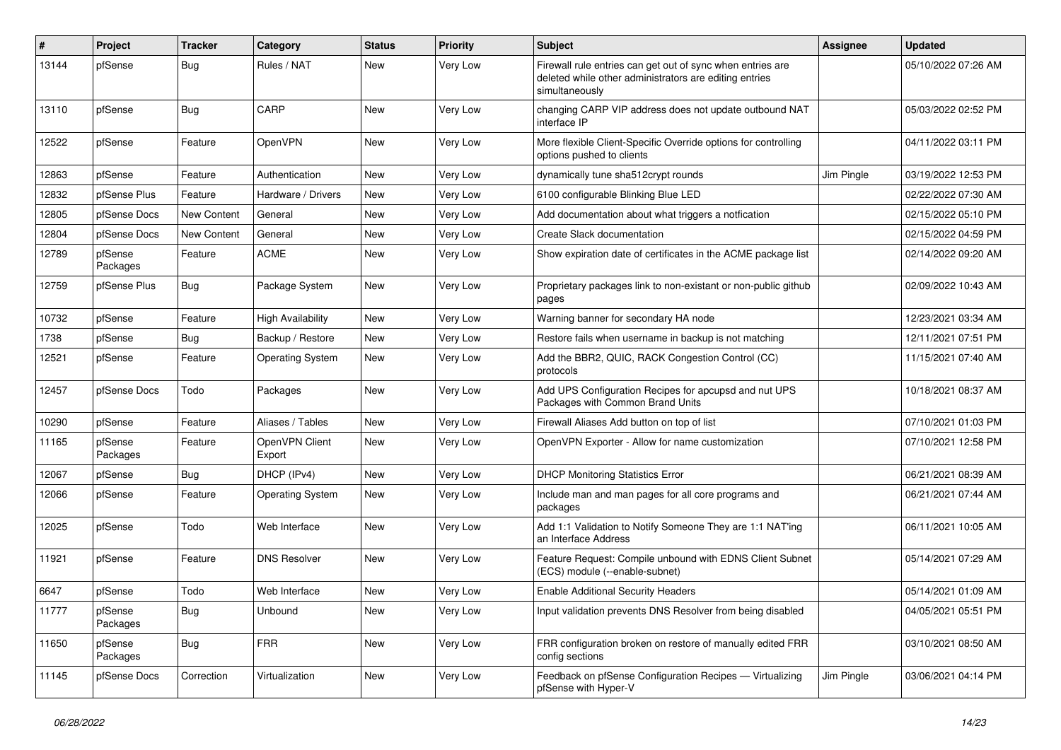| ∦     | Project             | Tracker     | Category                 | <b>Status</b> | <b>Priority</b> | Subject                                                                                                                                | <b>Assignee</b> | <b>Updated</b>      |
|-------|---------------------|-------------|--------------------------|---------------|-----------------|----------------------------------------------------------------------------------------------------------------------------------------|-----------------|---------------------|
| 13144 | pfSense             | <b>Bug</b>  | Rules / NAT              | New           | Very Low        | Firewall rule entries can get out of sync when entries are<br>deleted while other administrators are editing entries<br>simultaneously |                 | 05/10/2022 07:26 AM |
| 13110 | pfSense             | <b>Bug</b>  | CARP                     | New           | Very Low        | changing CARP VIP address does not update outbound NAT<br>interface IP                                                                 |                 | 05/03/2022 02:52 PM |
| 12522 | pfSense             | Feature     | OpenVPN                  | New           | Very Low        | More flexible Client-Specific Override options for controlling<br>options pushed to clients                                            |                 | 04/11/2022 03:11 PM |
| 12863 | pfSense             | Feature     | Authentication           | <b>New</b>    | Very Low        | dynamically tune sha512crypt rounds                                                                                                    | Jim Pingle      | 03/19/2022 12:53 PM |
| 12832 | pfSense Plus        | Feature     | Hardware / Drivers       | New           | Very Low        | 6100 configurable Blinking Blue LED                                                                                                    |                 | 02/22/2022 07:30 AM |
| 12805 | pfSense Docs        | New Content | General                  | New           | Very Low        | Add documentation about what triggers a notfication                                                                                    |                 | 02/15/2022 05:10 PM |
| 12804 | pfSense Docs        | New Content | General                  | New           | Very Low        | Create Slack documentation                                                                                                             |                 | 02/15/2022 04:59 PM |
| 12789 | pfSense<br>Packages | Feature     | <b>ACME</b>              | New           | Very Low        | Show expiration date of certificates in the ACME package list                                                                          |                 | 02/14/2022 09:20 AM |
| 12759 | pfSense Plus        | Bug         | Package System           | New           | Very Low        | Proprietary packages link to non-existant or non-public github<br>pages                                                                |                 | 02/09/2022 10:43 AM |
| 10732 | pfSense             | Feature     | <b>High Availability</b> | <b>New</b>    | Very Low        | Warning banner for secondary HA node                                                                                                   |                 | 12/23/2021 03:34 AM |
| 1738  | pfSense             | <b>Bug</b>  | Backup / Restore         | New           | Very Low        | Restore fails when username in backup is not matching                                                                                  |                 | 12/11/2021 07:51 PM |
| 12521 | pfSense             | Feature     | <b>Operating System</b>  | New           | Very Low        | Add the BBR2, QUIC, RACK Congestion Control (CC)<br>protocols                                                                          |                 | 11/15/2021 07:40 AM |
| 12457 | pfSense Docs        | Todo        | Packages                 | <b>New</b>    | Very Low        | Add UPS Configuration Recipes for apcupsd and nut UPS<br>Packages with Common Brand Units                                              |                 | 10/18/2021 08:37 AM |
| 10290 | pfSense             | Feature     | Aliases / Tables         | New           | Very Low        | Firewall Aliases Add button on top of list                                                                                             |                 | 07/10/2021 01:03 PM |
| 11165 | pfSense<br>Packages | Feature     | OpenVPN Client<br>Export | New           | Very Low        | OpenVPN Exporter - Allow for name customization                                                                                        |                 | 07/10/2021 12:58 PM |
| 12067 | pfSense             | <b>Bug</b>  | DHCP (IPv4)              | <b>New</b>    | Very Low        | <b>DHCP Monitoring Statistics Error</b>                                                                                                |                 | 06/21/2021 08:39 AM |
| 12066 | pfSense             | Feature     | <b>Operating System</b>  | New           | Very Low        | Include man and man pages for all core programs and<br>packages                                                                        |                 | 06/21/2021 07:44 AM |
| 12025 | pfSense             | Todo        | Web Interface            | <b>New</b>    | Very Low        | Add 1:1 Validation to Notify Someone They are 1:1 NAT'ing<br>an Interface Address                                                      |                 | 06/11/2021 10:05 AM |
| 11921 | pfSense             | Feature     | <b>DNS Resolver</b>      | New           | Very Low        | Feature Request: Compile unbound with EDNS Client Subnet<br>(ECS) module (--enable-subnet)                                             |                 | 05/14/2021 07:29 AM |
| 6647  | pfSense             | Todo        | Web Interface            | New           | Very Low        | <b>Enable Additional Security Headers</b>                                                                                              |                 | 05/14/2021 01:09 AM |
| 11777 | pfSense<br>Packages | Bug         | Unbound                  | New           | Very Low        | Input validation prevents DNS Resolver from being disabled                                                                             |                 | 04/05/2021 05:51 PM |
| 11650 | pfSense<br>Packages | <b>Bug</b>  | <b>FRR</b>               | New           | Very Low        | FRR configuration broken on restore of manually edited FRR<br>config sections                                                          |                 | 03/10/2021 08:50 AM |
| 11145 | pfSense Docs        | Correction  | Virtualization           | New           | Very Low        | Feedback on pfSense Configuration Recipes - Virtualizing<br>pfSense with Hyper-V                                                       | Jim Pingle      | 03/06/2021 04:14 PM |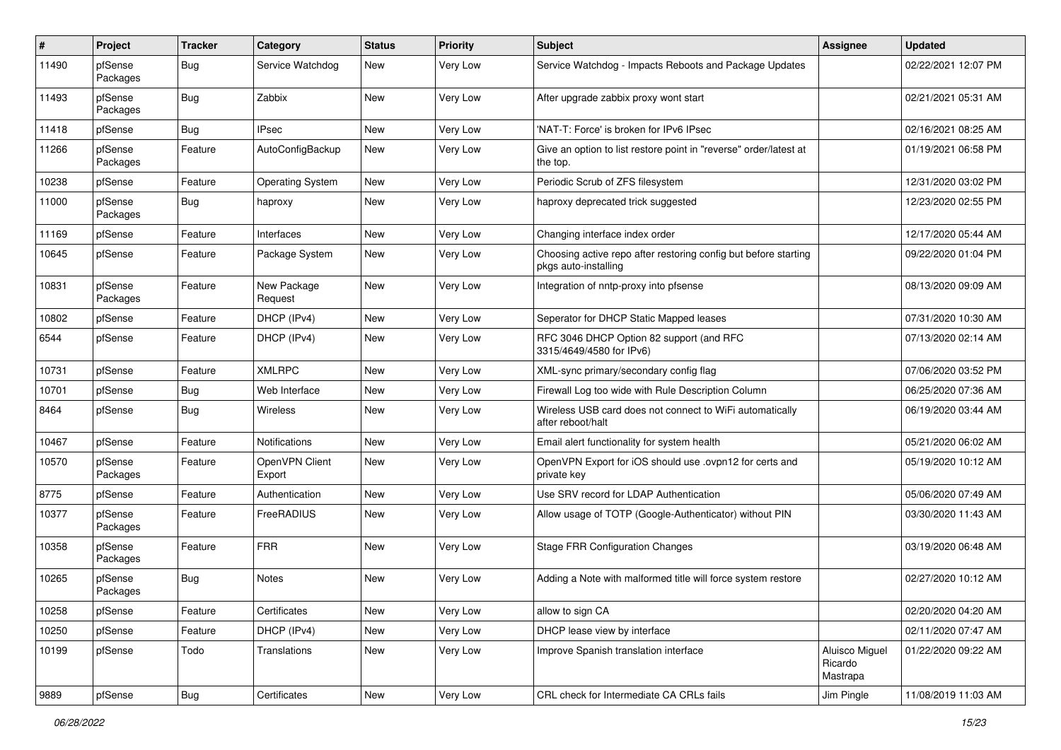| #     | Project             | <b>Tracker</b> | Category                 | <b>Status</b> | <b>Priority</b> | <b>Subject</b>                                                                          | <b>Assignee</b>                       | <b>Updated</b>      |
|-------|---------------------|----------------|--------------------------|---------------|-----------------|-----------------------------------------------------------------------------------------|---------------------------------------|---------------------|
| 11490 | pfSense<br>Packages | Bug            | Service Watchdog         | New           | Very Low        | Service Watchdog - Impacts Reboots and Package Updates                                  |                                       | 02/22/2021 12:07 PM |
| 11493 | pfSense<br>Packages | Bug            | Zabbix                   | <b>New</b>    | Very Low        | After upgrade zabbix proxy wont start                                                   |                                       | 02/21/2021 05:31 AM |
| 11418 | pfSense             | Bug            | <b>IPsec</b>             | <b>New</b>    | Very Low        | 'NAT-T: Force' is broken for IPv6 IPsec                                                 |                                       | 02/16/2021 08:25 AM |
| 11266 | pfSense<br>Packages | Feature        | AutoConfigBackup         | New           | Very Low        | Give an option to list restore point in "reverse" order/latest at<br>the top.           |                                       | 01/19/2021 06:58 PM |
| 10238 | pfSense             | Feature        | <b>Operating System</b>  | New           | Very Low        | Periodic Scrub of ZFS filesystem                                                        |                                       | 12/31/2020 03:02 PM |
| 11000 | pfSense<br>Packages | Bug            | haproxy                  | New           | Very Low        | haproxy deprecated trick suggested                                                      |                                       | 12/23/2020 02:55 PM |
| 11169 | pfSense             | Feature        | Interfaces               | New           | Very Low        | Changing interface index order                                                          |                                       | 12/17/2020 05:44 AM |
| 10645 | pfSense             | Feature        | Package System           | New           | Very Low        | Choosing active repo after restoring config but before starting<br>pkgs auto-installing |                                       | 09/22/2020 01:04 PM |
| 10831 | pfSense<br>Packages | Feature        | New Package<br>Request   | <b>New</b>    | Very Low        | Integration of nntp-proxy into pfsense                                                  |                                       | 08/13/2020 09:09 AM |
| 10802 | pfSense             | Feature        | DHCP (IPv4)              | <b>New</b>    | Very Low        | Seperator for DHCP Static Mapped leases                                                 |                                       | 07/31/2020 10:30 AM |
| 6544  | pfSense             | Feature        | DHCP (IPv4)              | New           | Very Low        | RFC 3046 DHCP Option 82 support (and RFC<br>3315/4649/4580 for IPv6)                    |                                       | 07/13/2020 02:14 AM |
| 10731 | pfSense             | Feature        | <b>XMLRPC</b>            | New           | Very Low        | XML-sync primary/secondary config flag                                                  |                                       | 07/06/2020 03:52 PM |
| 10701 | pfSense             | <b>Bug</b>     | Web Interface            | New           | Very Low        | Firewall Log too wide with Rule Description Column                                      |                                       | 06/25/2020 07:36 AM |
| 8464  | pfSense             | Bug            | Wireless                 | New           | Very Low        | Wireless USB card does not connect to WiFi automatically<br>after reboot/halt           |                                       | 06/19/2020 03:44 AM |
| 10467 | pfSense             | Feature        | Notifications            | <b>New</b>    | Very Low        | Email alert functionality for system health                                             |                                       | 05/21/2020 06:02 AM |
| 10570 | pfSense<br>Packages | Feature        | OpenVPN Client<br>Export | <b>New</b>    | Very Low        | OpenVPN Export for iOS should use .ovpn12 for certs and<br>private key                  |                                       | 05/19/2020 10:12 AM |
| 8775  | pfSense             | Feature        | Authentication           | <b>New</b>    | Very Low        | Use SRV record for LDAP Authentication                                                  |                                       | 05/06/2020 07:49 AM |
| 10377 | pfSense<br>Packages | Feature        | FreeRADIUS               | New           | Very Low        | Allow usage of TOTP (Google-Authenticator) without PIN                                  |                                       | 03/30/2020 11:43 AM |
| 10358 | pfSense<br>Packages | Feature        | <b>FRR</b>               | New           | Very Low        | <b>Stage FRR Configuration Changes</b>                                                  |                                       | 03/19/2020 06:48 AM |
| 10265 | pfSense<br>Packages | <b>Bug</b>     | Notes                    | New           | Very Low        | Adding a Note with malformed title will force system restore                            |                                       | 02/27/2020 10:12 AM |
| 10258 | pfSense             | Feature        | Certificates             | New           | Very Low        | allow to sign CA                                                                        |                                       | 02/20/2020 04:20 AM |
| 10250 | pfSense             | Feature        | DHCP (IPv4)              | New           | Very Low        | DHCP lease view by interface                                                            |                                       | 02/11/2020 07:47 AM |
| 10199 | pfSense             | Todo           | Translations             | New           | Very Low        | Improve Spanish translation interface                                                   | Aluisco Miguel<br>Ricardo<br>Mastrapa | 01/22/2020 09:22 AM |
| 9889  | pfSense             | Bug            | Certificates             | New           | Very Low        | CRL check for Intermediate CA CRLs fails                                                | Jim Pingle                            | 11/08/2019 11:03 AM |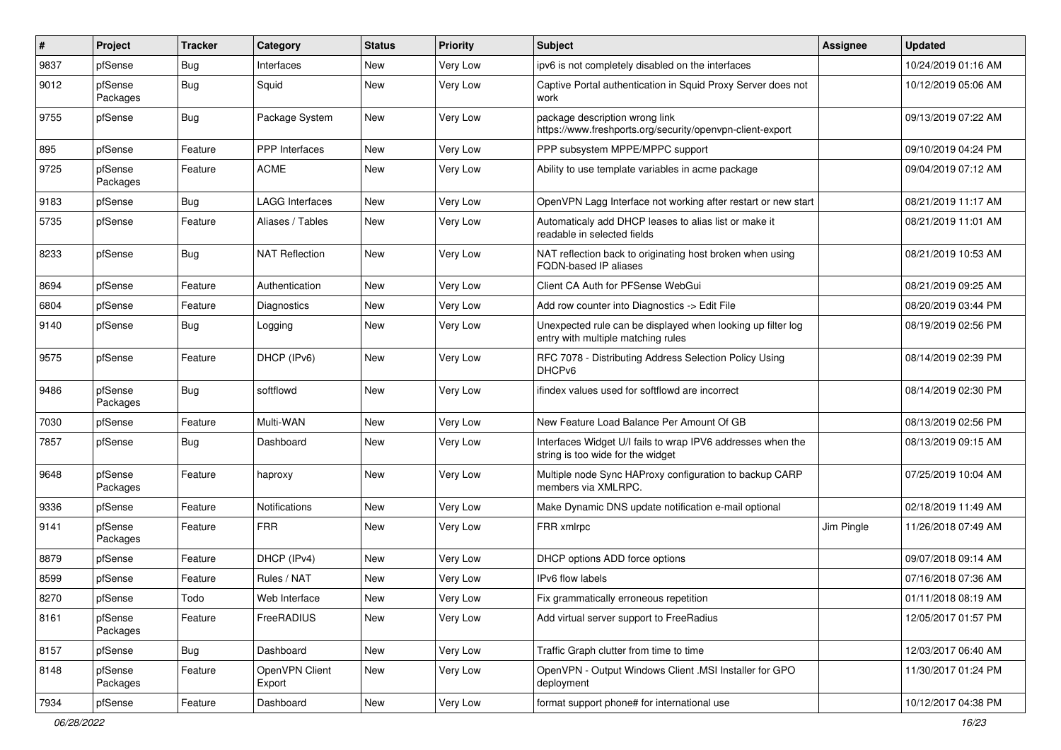| $\sharp$ | Project             | <b>Tracker</b> | Category                 | <b>Status</b> | <b>Priority</b> | <b>Subject</b>                                                                                    | Assignee   | <b>Updated</b>      |
|----------|---------------------|----------------|--------------------------|---------------|-----------------|---------------------------------------------------------------------------------------------------|------------|---------------------|
| 9837     | pfSense             | <b>Bug</b>     | Interfaces               | New           | Very Low        | ipv6 is not completely disabled on the interfaces                                                 |            | 10/24/2019 01:16 AM |
| 9012     | pfSense<br>Packages | <b>Bug</b>     | Squid                    | New           | Very Low        | Captive Portal authentication in Squid Proxy Server does not<br>work                              |            | 10/12/2019 05:06 AM |
| 9755     | pfSense             | <b>Bug</b>     | Package System           | New           | Very Low        | package description wrong link<br>https://www.freshports.org/security/openvpn-client-export       |            | 09/13/2019 07:22 AM |
| 895      | pfSense             | Feature        | PPP Interfaces           | New           | Very Low        | PPP subsystem MPPE/MPPC support                                                                   |            | 09/10/2019 04:24 PM |
| 9725     | pfSense<br>Packages | Feature        | <b>ACME</b>              | New           | Very Low        | Ability to use template variables in acme package                                                 |            | 09/04/2019 07:12 AM |
| 9183     | pfSense             | <b>Bug</b>     | <b>LAGG Interfaces</b>   | New           | Very Low        | OpenVPN Lagg Interface not working after restart or new start                                     |            | 08/21/2019 11:17 AM |
| 5735     | pfSense             | Feature        | Aliases / Tables         | New           | Very Low        | Automaticaly add DHCP leases to alias list or make it<br>readable in selected fields              |            | 08/21/2019 11:01 AM |
| 8233     | pfSense             | <b>Bug</b>     | <b>NAT Reflection</b>    | New           | Very Low        | NAT reflection back to originating host broken when using<br><b>FQDN-based IP aliases</b>         |            | 08/21/2019 10:53 AM |
| 8694     | pfSense             | Feature        | Authentication           | New           | Very Low        | Client CA Auth for PFSense WebGui                                                                 |            | 08/21/2019 09:25 AM |
| 6804     | pfSense             | Feature        | Diagnostics              | <b>New</b>    | Very Low        | Add row counter into Diagnostics -> Edit File                                                     |            | 08/20/2019 03:44 PM |
| 9140     | pfSense             | Bug            | Logging                  | New           | Very Low        | Unexpected rule can be displayed when looking up filter log<br>entry with multiple matching rules |            | 08/19/2019 02:56 PM |
| 9575     | pfSense             | Feature        | DHCP (IPv6)              | New           | Very Low        | RFC 7078 - Distributing Address Selection Policy Using<br>DHCP <sub>v6</sub>                      |            | 08/14/2019 02:39 PM |
| 9486     | pfSense<br>Packages | <b>Bug</b>     | softflowd                | New           | Very Low        | ifindex values used for softflowd are incorrect                                                   |            | 08/14/2019 02:30 PM |
| 7030     | pfSense             | Feature        | Multi-WAN                | New           | Very Low        | New Feature Load Balance Per Amount Of GB                                                         |            | 08/13/2019 02:56 PM |
| 7857     | pfSense             | <b>Bug</b>     | Dashboard                | New           | Very Low        | Interfaces Widget U/I fails to wrap IPV6 addresses when the<br>string is too wide for the widget  |            | 08/13/2019 09:15 AM |
| 9648     | pfSense<br>Packages | Feature        | haproxy                  | New           | Very Low        | Multiple node Sync HAProxy configuration to backup CARP<br>members via XMLRPC.                    |            | 07/25/2019 10:04 AM |
| 9336     | pfSense             | Feature        | Notifications            | <b>New</b>    | Very Low        | Make Dynamic DNS update notification e-mail optional                                              |            | 02/18/2019 11:49 AM |
| 9141     | pfSense<br>Packages | Feature        | <b>FRR</b>               | New           | Very Low        | FRR xmlrpc                                                                                        | Jim Pingle | 11/26/2018 07:49 AM |
| 8879     | pfSense             | Feature        | DHCP (IPv4)              | New           | Very Low        | DHCP options ADD force options                                                                    |            | 09/07/2018 09:14 AM |
| 8599     | pfSense             | Feature        | Rules / NAT              | New           | Very Low        | IPv6 flow labels                                                                                  |            | 07/16/2018 07:36 AM |
| 8270     | pfSense             | Todo           | Web Interface            | New           | Very Low        | Fix grammatically erroneous repetition                                                            |            | 01/11/2018 08:19 AM |
| 8161     | pfSense<br>Packages | Feature        | FreeRADIUS               | New           | Very Low        | Add virtual server support to FreeRadius                                                          |            | 12/05/2017 01:57 PM |
| 8157     | pfSense             | <b>Bug</b>     | Dashboard                | New           | Very Low        | Traffic Graph clutter from time to time                                                           |            | 12/03/2017 06:40 AM |
| 8148     | pfSense<br>Packages | Feature        | OpenVPN Client<br>Export | New           | Very Low        | OpenVPN - Output Windows Client .MSI Installer for GPO<br>deployment                              |            | 11/30/2017 01:24 PM |
| 7934     | pfSense             | Feature        | Dashboard                | New           | Very Low        | format support phone# for international use                                                       |            | 10/12/2017 04:38 PM |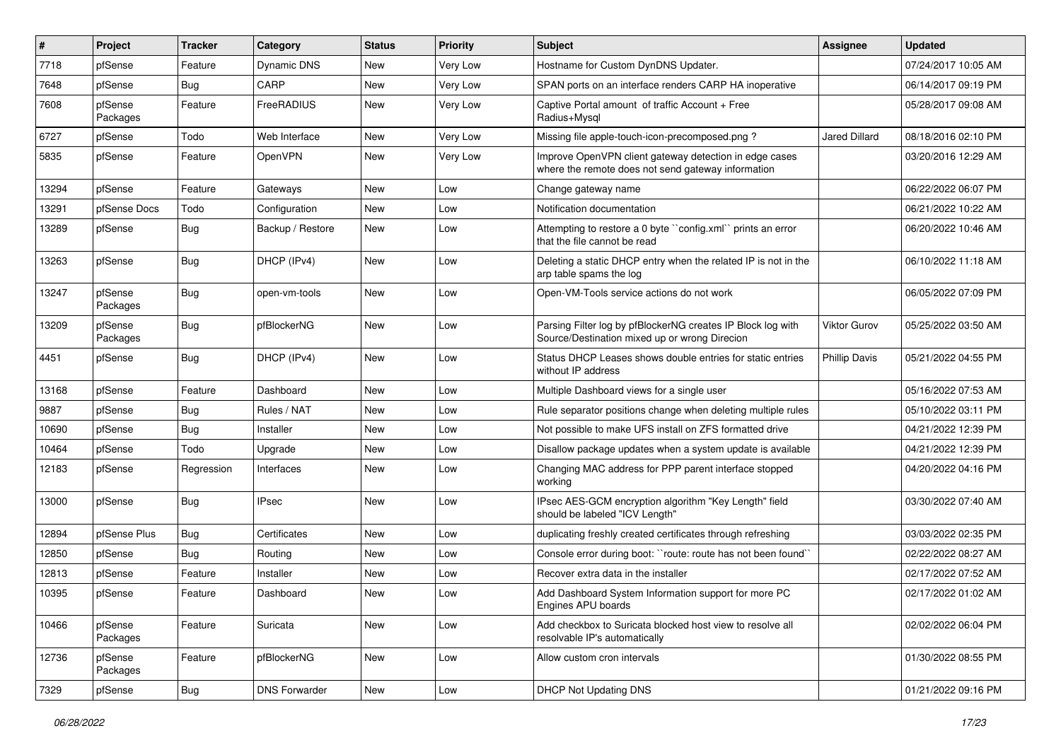| $\#$  | Project             | <b>Tracker</b> | Category             | <b>Status</b> | <b>Priority</b> | <b>Subject</b>                                                                                               | <b>Assignee</b>      | <b>Updated</b>      |
|-------|---------------------|----------------|----------------------|---------------|-----------------|--------------------------------------------------------------------------------------------------------------|----------------------|---------------------|
| 7718  | pfSense             | Feature        | Dynamic DNS          | New           | <b>Very Low</b> | Hostname for Custom DynDNS Updater.                                                                          |                      | 07/24/2017 10:05 AM |
| 7648  | pfSense             | <b>Bug</b>     | CARP                 | <b>New</b>    | Very Low        | SPAN ports on an interface renders CARP HA inoperative                                                       |                      | 06/14/2017 09:19 PM |
| 7608  | pfSense<br>Packages | Feature        | FreeRADIUS           | New           | Very Low        | Captive Portal amount of traffic Account + Free<br>Radius+Mysql                                              |                      | 05/28/2017 09:08 AM |
| 6727  | pfSense             | Todo           | Web Interface        | <b>New</b>    | Very Low        | Missing file apple-touch-icon-precomposed.png?                                                               | Jared Dillard        | 08/18/2016 02:10 PM |
| 5835  | pfSense             | Feature        | OpenVPN              | New           | Very Low        | Improve OpenVPN client gateway detection in edge cases<br>where the remote does not send gateway information |                      | 03/20/2016 12:29 AM |
| 13294 | pfSense             | Feature        | Gateways             | New           | Low             | Change gateway name                                                                                          |                      | 06/22/2022 06:07 PM |
| 13291 | pfSense Docs        | Todo           | Configuration        | New           | Low             | Notification documentation                                                                                   |                      | 06/21/2022 10:22 AM |
| 13289 | pfSense             | <b>Bug</b>     | Backup / Restore     | New           | Low             | Attempting to restore a 0 byte "config.xml" prints an error<br>that the file cannot be read                  |                      | 06/20/2022 10:46 AM |
| 13263 | pfSense             | Bug            | DHCP (IPv4)          | New           | Low             | Deleting a static DHCP entry when the related IP is not in the<br>arp table spams the log                    |                      | 06/10/2022 11:18 AM |
| 13247 | pfSense<br>Packages | <b>Bug</b>     | open-vm-tools        | <b>New</b>    | Low             | Open-VM-Tools service actions do not work                                                                    |                      | 06/05/2022 07:09 PM |
| 13209 | pfSense<br>Packages | <b>Bug</b>     | pfBlockerNG          | <b>New</b>    | Low             | Parsing Filter log by pfBlockerNG creates IP Block log with<br>Source/Destination mixed up or wrong Direcion | Viktor Gurov         | 05/25/2022 03:50 AM |
| 4451  | pfSense             | <b>Bug</b>     | DHCP (IPv4)          | <b>New</b>    | Low             | Status DHCP Leases shows double entries for static entries<br>without IP address                             | <b>Phillip Davis</b> | 05/21/2022 04:55 PM |
| 13168 | pfSense             | Feature        | Dashboard            | New           | Low             | Multiple Dashboard views for a single user                                                                   |                      | 05/16/2022 07:53 AM |
| 9887  | pfSense             | Bug            | Rules / NAT          | New           | Low             | Rule separator positions change when deleting multiple rules                                                 |                      | 05/10/2022 03:11 PM |
| 10690 | pfSense             | Bug            | Installer            | New           | Low             | Not possible to make UFS install on ZFS formatted drive                                                      |                      | 04/21/2022 12:39 PM |
| 10464 | pfSense             | Todo           | Upgrade              | New           | Low             | Disallow package updates when a system update is available                                                   |                      | 04/21/2022 12:39 PM |
| 12183 | pfSense             | Regression     | Interfaces           | <b>New</b>    | Low             | Changing MAC address for PPP parent interface stopped<br>working                                             |                      | 04/20/2022 04:16 PM |
| 13000 | pfSense             | Bug            | <b>IPsec</b>         | New           | Low             | IPsec AES-GCM encryption algorithm "Key Length" field<br>should be labeled "ICV Length"                      |                      | 03/30/2022 07:40 AM |
| 12894 | pfSense Plus        | Bug            | Certificates         | <b>New</b>    | Low             | duplicating freshly created certificates through refreshing                                                  |                      | 03/03/2022 02:35 PM |
| 12850 | pfSense             | <b>Bug</b>     | Routing              | New           | Low             | Console error during boot: "route: route has not been found"                                                 |                      | 02/22/2022 08:27 AM |
| 12813 | pfSense             | Feature        | Installer            | New           | Low             | Recover extra data in the installer                                                                          |                      | 02/17/2022 07:52 AM |
| 10395 | pfSense             | Feature        | Dashboard            | New           | Low             | Add Dashboard System Information support for more PC<br>Engines APU boards                                   |                      | 02/17/2022 01:02 AM |
| 10466 | pfSense<br>Packages | Feature        | Suricata             | New           | Low             | Add checkbox to Suricata blocked host view to resolve all<br>resolvable IP's automatically                   |                      | 02/02/2022 06:04 PM |
| 12736 | pfSense<br>Packages | Feature        | pfBlockerNG          | New           | Low             | Allow custom cron intervals                                                                                  |                      | 01/30/2022 08:55 PM |
| 7329  | pfSense             | <b>Bug</b>     | <b>DNS Forwarder</b> | New           | Low             | <b>DHCP Not Updating DNS</b>                                                                                 |                      | 01/21/2022 09:16 PM |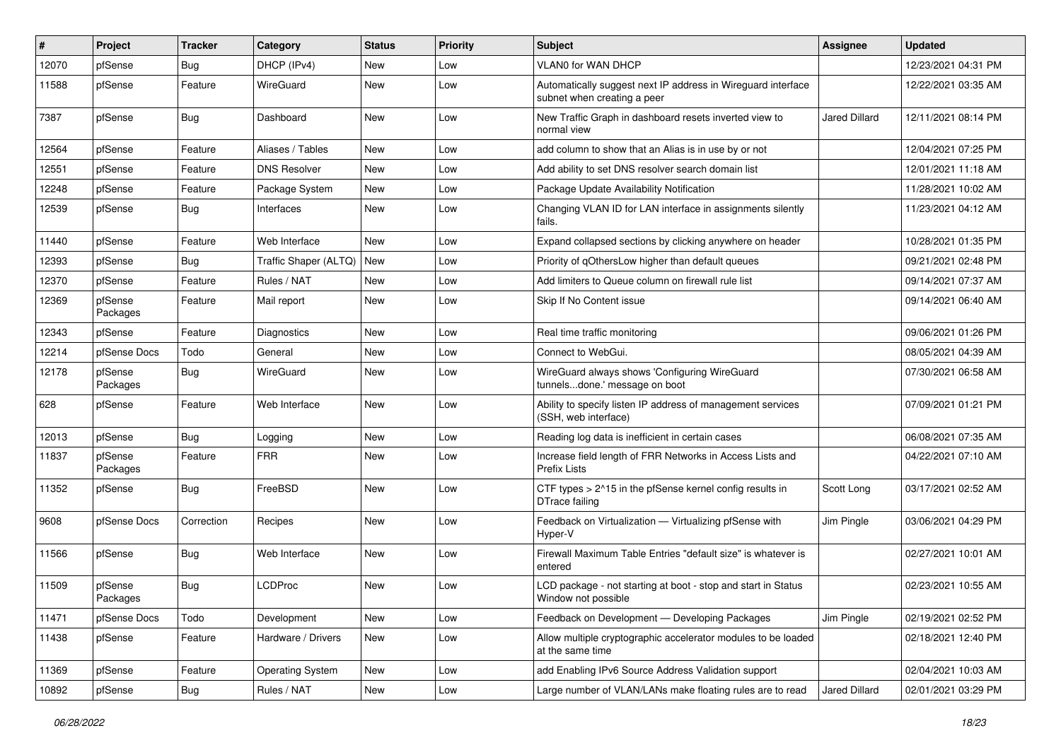| #     | Project             | <b>Tracker</b> | Category                | <b>Status</b> | Priority | Subject                                                                                     | Assignee             | <b>Updated</b>      |
|-------|---------------------|----------------|-------------------------|---------------|----------|---------------------------------------------------------------------------------------------|----------------------|---------------------|
| 12070 | pfSense             | Bug            | DHCP (IPv4)             | New           | Low      | VLAN0 for WAN DHCP                                                                          |                      | 12/23/2021 04:31 PM |
| 11588 | pfSense             | Feature        | WireGuard               | <b>New</b>    | Low      | Automatically suggest next IP address in Wireguard interface<br>subnet when creating a peer |                      | 12/22/2021 03:35 AM |
| 7387  | pfSense             | <b>Bug</b>     | Dashboard               | New           | Low      | New Traffic Graph in dashboard resets inverted view to<br>normal view                       | <b>Jared Dillard</b> | 12/11/2021 08:14 PM |
| 12564 | pfSense             | Feature        | Aliases / Tables        | New           | Low      | add column to show that an Alias is in use by or not                                        |                      | 12/04/2021 07:25 PM |
| 12551 | pfSense             | Feature        | <b>DNS Resolver</b>     | New           | Low      | Add ability to set DNS resolver search domain list                                          |                      | 12/01/2021 11:18 AM |
| 12248 | pfSense             | Feature        | Package System          | <b>New</b>    | Low      | Package Update Availability Notification                                                    |                      | 11/28/2021 10:02 AM |
| 12539 | pfSense             | <b>Bug</b>     | Interfaces              | New           | Low      | Changing VLAN ID for LAN interface in assignments silently<br>fails.                        |                      | 11/23/2021 04:12 AM |
| 11440 | pfSense             | Feature        | Web Interface           | New           | Low      | Expand collapsed sections by clicking anywhere on header                                    |                      | 10/28/2021 01:35 PM |
| 12393 | pfSense             | <b>Bug</b>     | Traffic Shaper (ALTQ)   | New           | Low      | Priority of qOthersLow higher than default queues                                           |                      | 09/21/2021 02:48 PM |
| 12370 | pfSense             | Feature        | Rules / NAT             | <b>New</b>    | Low      | Add limiters to Queue column on firewall rule list                                          |                      | 09/14/2021 07:37 AM |
| 12369 | pfSense<br>Packages | Feature        | Mail report             | New           | Low      | Skip If No Content issue                                                                    |                      | 09/14/2021 06:40 AM |
| 12343 | pfSense             | Feature        | Diagnostics             | <b>New</b>    | Low      | Real time traffic monitoring                                                                |                      | 09/06/2021 01:26 PM |
| 12214 | pfSense Docs        | Todo           | General                 | New           | Low      | Connect to WebGui.                                                                          |                      | 08/05/2021 04:39 AM |
| 12178 | pfSense<br>Packages | <b>Bug</b>     | WireGuard               | New           | Low      | WireGuard always shows 'Configuring WireGuard<br>tunnelsdone.' message on boot              |                      | 07/30/2021 06:58 AM |
| 628   | pfSense             | Feature        | Web Interface           | New           | Low      | Ability to specify listen IP address of management services<br>(SSH, web interface)         |                      | 07/09/2021 01:21 PM |
| 12013 | pfSense             | <b>Bug</b>     | Logging                 | New           | Low      | Reading log data is inefficient in certain cases                                            |                      | 06/08/2021 07:35 AM |
| 11837 | pfSense<br>Packages | Feature        | <b>FRR</b>              | New           | Low      | Increase field length of FRR Networks in Access Lists and<br><b>Prefix Lists</b>            |                      | 04/22/2021 07:10 AM |
| 11352 | pfSense             | <b>Bug</b>     | FreeBSD                 | New           | Low      | CTF types $> 215$ in the pfSense kernel config results in<br>DTrace failing                 | Scott Long           | 03/17/2021 02:52 AM |
| 9608  | pfSense Docs        | Correction     | Recipes                 | <b>New</b>    | Low      | Feedback on Virtualization - Virtualizing pfSense with<br>Hyper-V                           | Jim Pingle           | 03/06/2021 04:29 PM |
| 11566 | pfSense             | <b>Bug</b>     | Web Interface           | <b>New</b>    | Low      | Firewall Maximum Table Entries "default size" is whatever is<br>entered                     |                      | 02/27/2021 10:01 AM |
| 11509 | pfSense<br>Packages | <b>Bug</b>     | <b>LCDProc</b>          | New           | Low      | LCD package - not starting at boot - stop and start in Status<br>Window not possible        |                      | 02/23/2021 10:55 AM |
| 11471 | pfSense Docs        | Todo           | Development             | New           | Low      | Feedback on Development - Developing Packages                                               | Jim Pingle           | 02/19/2021 02:52 PM |
| 11438 | pfSense             | Feature        | Hardware / Drivers      | New           | Low      | Allow multiple cryptographic accelerator modules to be loaded<br>at the same time           |                      | 02/18/2021 12:40 PM |
| 11369 | pfSense             | Feature        | <b>Operating System</b> | New           | Low      | add Enabling IPv6 Source Address Validation support                                         |                      | 02/04/2021 10:03 AM |
| 10892 | pfSense             | Bug            | Rules / NAT             | New           | Low      | Large number of VLAN/LANs make floating rules are to read                                   | Jared Dillard        | 02/01/2021 03:29 PM |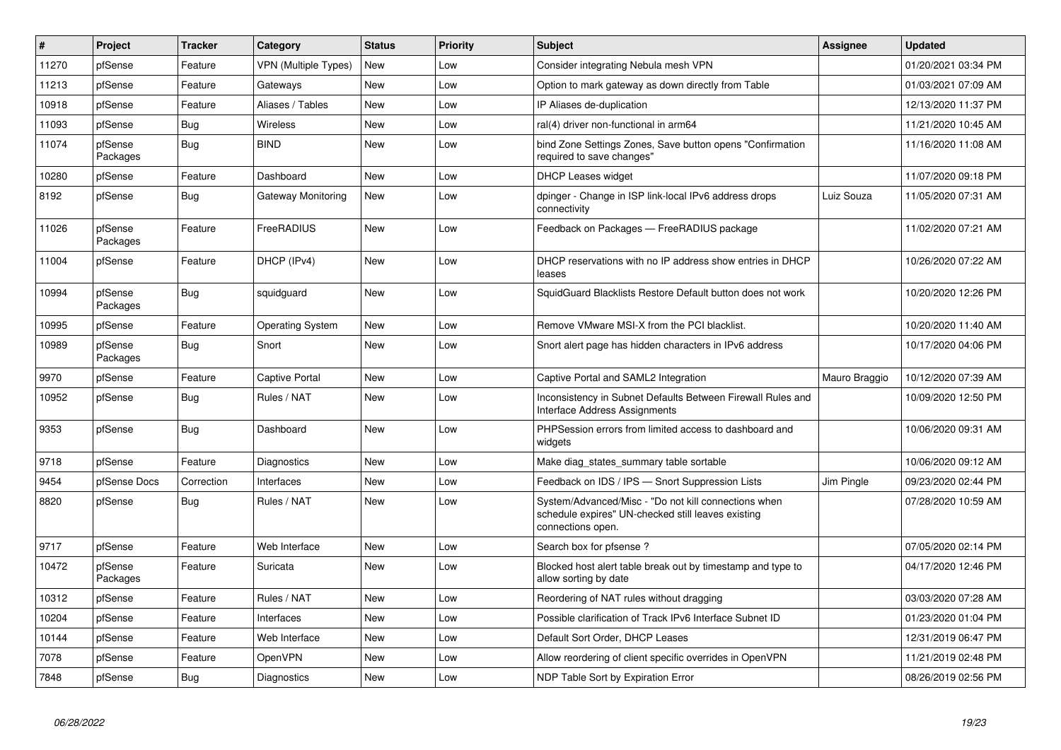| #     | Project             | <b>Tracker</b> | Category                    | <b>Status</b> | Priority | <b>Subject</b>                                                                                                                  | <b>Assignee</b> | <b>Updated</b>      |
|-------|---------------------|----------------|-----------------------------|---------------|----------|---------------------------------------------------------------------------------------------------------------------------------|-----------------|---------------------|
| 11270 | pfSense             | Feature        | <b>VPN (Multiple Types)</b> | <b>New</b>    | Low      | Consider integrating Nebula mesh VPN                                                                                            |                 | 01/20/2021 03:34 PM |
| 11213 | pfSense             | Feature        | Gateways                    | <b>New</b>    | Low      | Option to mark gateway as down directly from Table                                                                              |                 | 01/03/2021 07:09 AM |
| 10918 | pfSense             | Feature        | Aliases / Tables            | <b>New</b>    | Low      | IP Aliases de-duplication                                                                                                       |                 | 12/13/2020 11:37 PM |
| 11093 | pfSense             | <b>Bug</b>     | Wireless                    | <b>New</b>    | Low      | ral(4) driver non-functional in arm64                                                                                           |                 | 11/21/2020 10:45 AM |
| 11074 | pfSense<br>Packages | <b>Bug</b>     | <b>BIND</b>                 | <b>New</b>    | Low      | bind Zone Settings Zones, Save button opens "Confirmation<br>required to save changes"                                          |                 | 11/16/2020 11:08 AM |
| 10280 | pfSense             | Feature        | Dashboard                   | <b>New</b>    | Low      | <b>DHCP Leases widget</b>                                                                                                       |                 | 11/07/2020 09:18 PM |
| 8192  | pfSense             | <b>Bug</b>     | Gateway Monitoring          | <b>New</b>    | Low      | dpinger - Change in ISP link-local IPv6 address drops<br>connectivity                                                           | Luiz Souza      | 11/05/2020 07:31 AM |
| 11026 | pfSense<br>Packages | Feature        | FreeRADIUS                  | <b>New</b>    | Low      | Feedback on Packages - FreeRADIUS package                                                                                       |                 | 11/02/2020 07:21 AM |
| 11004 | pfSense             | Feature        | DHCP (IPv4)                 | <b>New</b>    | Low      | DHCP reservations with no IP address show entries in DHCP<br>leases                                                             |                 | 10/26/2020 07:22 AM |
| 10994 | pfSense<br>Packages | Bug            | squidguard                  | New           | Low      | SquidGuard Blacklists Restore Default button does not work                                                                      |                 | 10/20/2020 12:26 PM |
| 10995 | pfSense             | Feature        | <b>Operating System</b>     | New           | Low      | Remove VMware MSI-X from the PCI blacklist.                                                                                     |                 | 10/20/2020 11:40 AM |
| 10989 | pfSense<br>Packages | <b>Bug</b>     | Snort                       | <b>New</b>    | Low      | Snort alert page has hidden characters in IPv6 address                                                                          |                 | 10/17/2020 04:06 PM |
| 9970  | pfSense             | Feature        | Captive Portal              | <b>New</b>    | Low      | Captive Portal and SAML2 Integration                                                                                            | Mauro Braggio   | 10/12/2020 07:39 AM |
| 10952 | pfSense             | <b>Bug</b>     | Rules / NAT                 | New           | Low      | Inconsistency in Subnet Defaults Between Firewall Rules and<br>Interface Address Assignments                                    |                 | 10/09/2020 12:50 PM |
| 9353  | pfSense             | <b>Bug</b>     | Dashboard                   | <b>New</b>    | Low      | PHPSession errors from limited access to dashboard and<br>widgets                                                               |                 | 10/06/2020 09:31 AM |
| 9718  | pfSense             | Feature        | Diagnostics                 | <b>New</b>    | Low      | Make diag states summary table sortable                                                                                         |                 | 10/06/2020 09:12 AM |
| 9454  | pfSense Docs        | Correction     | Interfaces                  | <b>New</b>    | Low      | Feedback on IDS / IPS - Snort Suppression Lists                                                                                 | Jim Pingle      | 09/23/2020 02:44 PM |
| 8820  | pfSense             | Bug            | Rules / NAT                 | <b>New</b>    | Low      | System/Advanced/Misc - "Do not kill connections when<br>schedule expires" UN-checked still leaves existing<br>connections open. |                 | 07/28/2020 10:59 AM |
| 9717  | pfSense             | Feature        | Web Interface               | <b>New</b>    | Low      | Search box for pfsense?                                                                                                         |                 | 07/05/2020 02:14 PM |
| 10472 | pfSense<br>Packages | Feature        | Suricata                    | <b>New</b>    | Low      | Blocked host alert table break out by timestamp and type to<br>allow sorting by date                                            |                 | 04/17/2020 12:46 PM |
| 10312 | pfSense             | Feature        | Rules / NAT                 | <b>New</b>    | Low      | Reordering of NAT rules without dragging                                                                                        |                 | 03/03/2020 07:28 AM |
| 10204 | pfSense             | Feature        | Interfaces                  | New           | Low      | Possible clarification of Track IPv6 Interface Subnet ID                                                                        |                 | 01/23/2020 01:04 PM |
| 10144 | pfSense             | Feature        | Web Interface               | <b>New</b>    | Low      | Default Sort Order, DHCP Leases                                                                                                 |                 | 12/31/2019 06:47 PM |
| 7078  | pfSense             | Feature        | <b>OpenVPN</b>              | <b>New</b>    | Low      | Allow reordering of client specific overrides in OpenVPN                                                                        |                 | 11/21/2019 02:48 PM |
| 7848  | pfSense             | <b>Bug</b>     | Diagnostics                 | <b>New</b>    | Low      | NDP Table Sort by Expiration Error                                                                                              |                 | 08/26/2019 02:56 PM |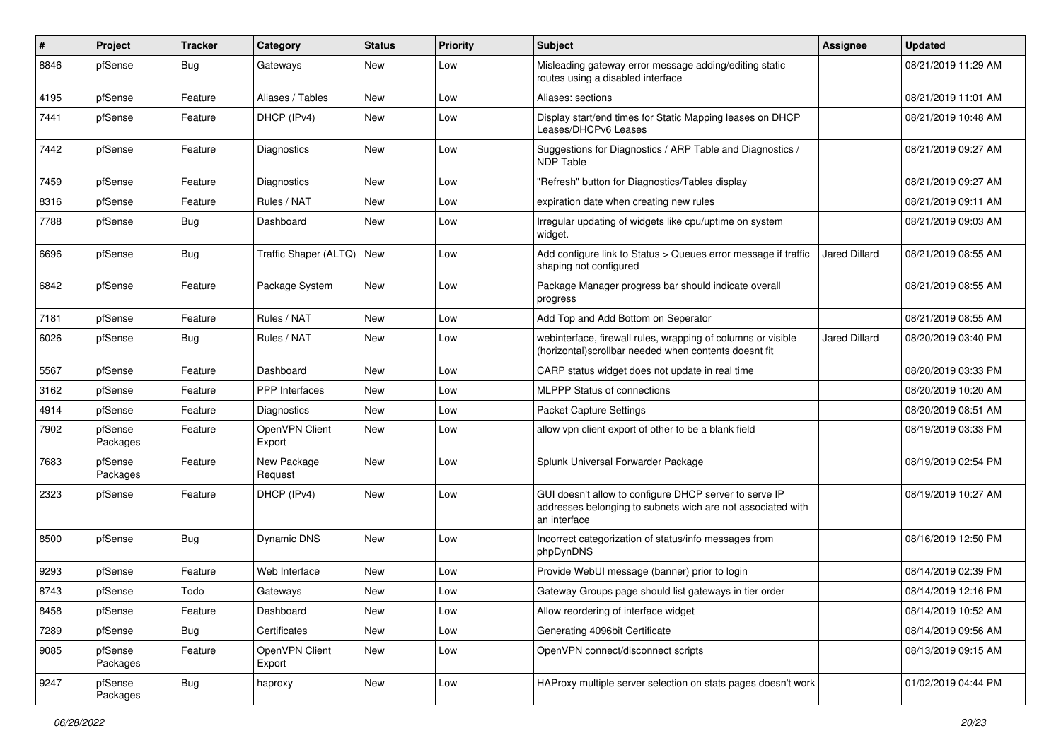| #    | Project             | <b>Tracker</b> | Category                 | <b>Status</b> | <b>Priority</b> | Subject                                                                                                                               | Assignee             | <b>Updated</b>      |
|------|---------------------|----------------|--------------------------|---------------|-----------------|---------------------------------------------------------------------------------------------------------------------------------------|----------------------|---------------------|
| 8846 | pfSense             | <b>Bug</b>     | Gateways                 | New           | Low             | Misleading gateway error message adding/editing static<br>routes using a disabled interface                                           |                      | 08/21/2019 11:29 AM |
| 4195 | pfSense             | Feature        | Aliases / Tables         | New           | Low             | Aliases: sections                                                                                                                     |                      | 08/21/2019 11:01 AM |
| 7441 | pfSense             | Feature        | DHCP (IPv4)              | New           | Low             | Display start/end times for Static Mapping leases on DHCP<br>Leases/DHCPv6 Leases                                                     |                      | 08/21/2019 10:48 AM |
| 7442 | pfSense             | Feature        | Diagnostics              | New           | Low             | Suggestions for Diagnostics / ARP Table and Diagnostics /<br><b>NDP Table</b>                                                         |                      | 08/21/2019 09:27 AM |
| 7459 | pfSense             | Feature        | Diagnostics              | <b>New</b>    | Low             | "Refresh" button for Diagnostics/Tables display                                                                                       |                      | 08/21/2019 09:27 AM |
| 8316 | pfSense             | Feature        | Rules / NAT              | New           | Low             | expiration date when creating new rules                                                                                               |                      | 08/21/2019 09:11 AM |
| 7788 | pfSense             | <b>Bug</b>     | Dashboard                | New           | Low             | Irregular updating of widgets like cpu/uptime on system<br>widget.                                                                    |                      | 08/21/2019 09:03 AM |
| 6696 | pfSense             | Bug            | Traffic Shaper (ALTQ)    | New           | Low             | Add configure link to Status > Queues error message if traffic<br>shaping not configured                                              | <b>Jared Dillard</b> | 08/21/2019 08:55 AM |
| 6842 | pfSense             | Feature        | Package System           | New           | Low             | Package Manager progress bar should indicate overall<br>progress                                                                      |                      | 08/21/2019 08:55 AM |
| 7181 | pfSense             | Feature        | Rules / NAT              | <b>New</b>    | Low             | Add Top and Add Bottom on Seperator                                                                                                   |                      | 08/21/2019 08:55 AM |
| 6026 | pfSense             | <b>Bug</b>     | Rules / NAT              | New           | Low             | webinterface, firewall rules, wrapping of columns or visible<br>(horizontal) scrollbar needed when contents doesnt fit                | Jared Dillard        | 08/20/2019 03:40 PM |
| 5567 | pfSense             | Feature        | Dashboard                | <b>New</b>    | Low             | CARP status widget does not update in real time                                                                                       |                      | 08/20/2019 03:33 PM |
| 3162 | pfSense             | Feature        | PPP Interfaces           | New           | Low             | MLPPP Status of connections                                                                                                           |                      | 08/20/2019 10:20 AM |
| 4914 | pfSense             | Feature        | Diagnostics              | <b>New</b>    | Low             | Packet Capture Settings                                                                                                               |                      | 08/20/2019 08:51 AM |
| 7902 | pfSense<br>Packages | Feature        | OpenVPN Client<br>Export | New           | Low             | allow vpn client export of other to be a blank field                                                                                  |                      | 08/19/2019 03:33 PM |
| 7683 | pfSense<br>Packages | Feature        | New Package<br>Request   | <b>New</b>    | Low             | Splunk Universal Forwarder Package                                                                                                    |                      | 08/19/2019 02:54 PM |
| 2323 | pfSense             | Feature        | DHCP (IPv4)              | New           | Low             | GUI doesn't allow to configure DHCP server to serve IP<br>addresses belonging to subnets wich are not associated with<br>an interface |                      | 08/19/2019 10:27 AM |
| 8500 | pfSense             | <b>Bug</b>     | Dynamic DNS              | New           | Low             | Incorrect categorization of status/info messages from<br>phpDynDNS                                                                    |                      | 08/16/2019 12:50 PM |
| 9293 | pfSense             | Feature        | Web Interface            | New           | Low             | Provide WebUI message (banner) prior to login                                                                                         |                      | 08/14/2019 02:39 PM |
| 8743 | pfSense             | Todo           | Gateways                 | New           | Low             | Gateway Groups page should list gateways in tier order                                                                                |                      | 08/14/2019 12:16 PM |
| 8458 | pfSense             | Feature        | Dashboard                | New           | Low             | Allow reordering of interface widget                                                                                                  |                      | 08/14/2019 10:52 AM |
| 7289 | pfSense             | <b>Bug</b>     | Certificates             | New           | Low             | Generating 4096bit Certificate                                                                                                        |                      | 08/14/2019 09:56 AM |
| 9085 | pfSense<br>Packages | Feature        | OpenVPN Client<br>Export | New           | Low             | OpenVPN connect/disconnect scripts                                                                                                    |                      | 08/13/2019 09:15 AM |
| 9247 | pfSense<br>Packages | Bug            | haproxy                  | New           | Low             | HAProxy multiple server selection on stats pages doesn't work                                                                         |                      | 01/02/2019 04:44 PM |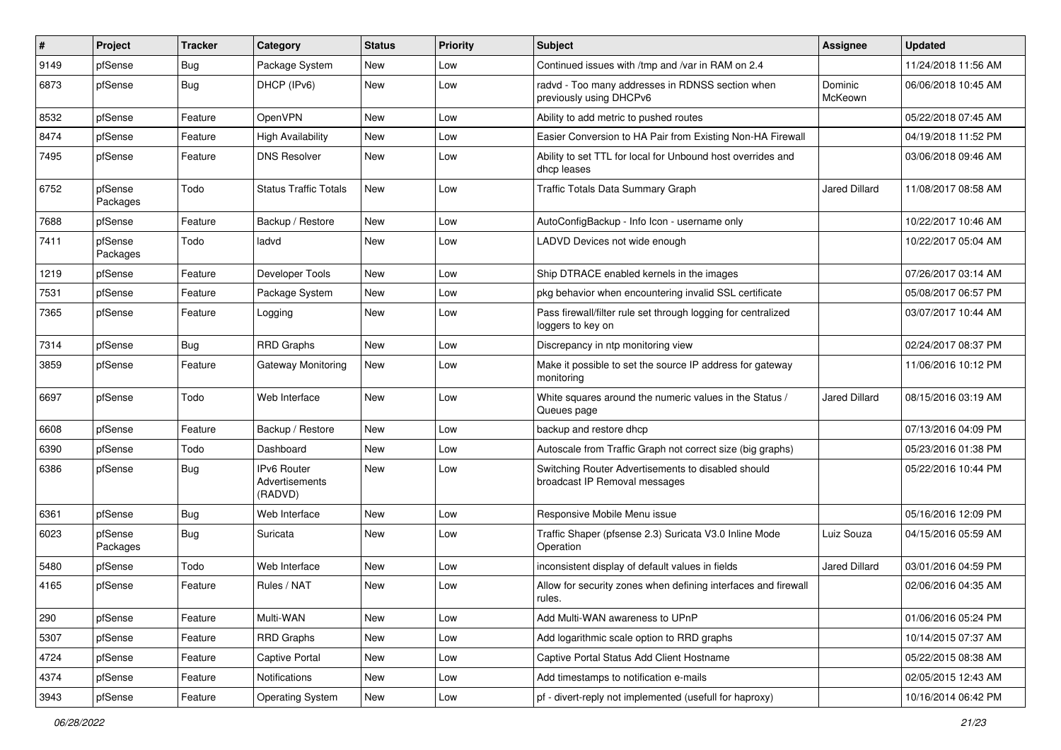| $\pmb{\#}$ | Project             | <b>Tracker</b> | Category                                        | <b>Status</b> | <b>Priority</b> | <b>Subject</b>                                                                      | <b>Assignee</b>      | <b>Updated</b>      |
|------------|---------------------|----------------|-------------------------------------------------|---------------|-----------------|-------------------------------------------------------------------------------------|----------------------|---------------------|
| 9149       | pfSense             | Bug            | Package System                                  | New           | Low             | Continued issues with /tmp and /var in RAM on 2.4                                   |                      | 11/24/2018 11:56 AM |
| 6873       | pfSense             | <b>Bug</b>     | DHCP (IPv6)                                     | New           | Low             | radvd - Too many addresses in RDNSS section when<br>previously using DHCPv6         | Dominic<br>McKeown   | 06/06/2018 10:45 AM |
| 8532       | pfSense             | Feature        | OpenVPN                                         | <b>New</b>    | Low             | Ability to add metric to pushed routes                                              |                      | 05/22/2018 07:45 AM |
| 8474       | pfSense             | Feature        | <b>High Availability</b>                        | <b>New</b>    | Low             | Easier Conversion to HA Pair from Existing Non-HA Firewall                          |                      | 04/19/2018 11:52 PM |
| 7495       | pfSense             | Feature        | <b>DNS Resolver</b>                             | New           | Low             | Ability to set TTL for local for Unbound host overrides and<br>dhcp leases          |                      | 03/06/2018 09:46 AM |
| 6752       | pfSense<br>Packages | Todo           | <b>Status Traffic Totals</b>                    | <b>New</b>    | Low             | Traffic Totals Data Summary Graph                                                   | Jared Dillard        | 11/08/2017 08:58 AM |
| 7688       | pfSense             | Feature        | Backup / Restore                                | <b>New</b>    | Low             | AutoConfigBackup - Info Icon - username only                                        |                      | 10/22/2017 10:46 AM |
| 7411       | pfSense<br>Packages | Todo           | ladvd                                           | New           | Low             | LADVD Devices not wide enough                                                       |                      | 10/22/2017 05:04 AM |
| 1219       | pfSense             | Feature        | Developer Tools                                 | <b>New</b>    | Low             | Ship DTRACE enabled kernels in the images                                           |                      | 07/26/2017 03:14 AM |
| 7531       | pfSense             | Feature        | Package System                                  | New           | Low             | pkg behavior when encountering invalid SSL certificate                              |                      | 05/08/2017 06:57 PM |
| 7365       | pfSense             | Feature        | Logging                                         | New           | Low             | Pass firewall/filter rule set through logging for centralized<br>loggers to key on  |                      | 03/07/2017 10:44 AM |
| 7314       | pfSense             | <b>Bug</b>     | <b>RRD Graphs</b>                               | <b>New</b>    | Low             | Discrepancy in ntp monitoring view                                                  |                      | 02/24/2017 08:37 PM |
| 3859       | pfSense             | Feature        | Gateway Monitoring                              | New           | Low             | Make it possible to set the source IP address for gateway<br>monitoring             |                      | 11/06/2016 10:12 PM |
| 6697       | pfSense             | Todo           | Web Interface                                   | <b>New</b>    | Low             | White squares around the numeric values in the Status /<br>Queues page              | <b>Jared Dillard</b> | 08/15/2016 03:19 AM |
| 6608       | pfSense             | Feature        | Backup / Restore                                | New           | Low             | backup and restore dhcp                                                             |                      | 07/13/2016 04:09 PM |
| 6390       | pfSense             | Todo           | Dashboard                                       | <b>New</b>    | Low             | Autoscale from Traffic Graph not correct size (big graphs)                          |                      | 05/23/2016 01:38 PM |
| 6386       | pfSense             | <b>Bug</b>     | <b>IPv6 Router</b><br>Advertisements<br>(RADVD) | <b>New</b>    | Low             | Switching Router Advertisements to disabled should<br>broadcast IP Removal messages |                      | 05/22/2016 10:44 PM |
| 6361       | pfSense             | <b>Bug</b>     | Web Interface                                   | New           | Low             | Responsive Mobile Menu issue                                                        |                      | 05/16/2016 12:09 PM |
| 6023       | pfSense<br>Packages | <b>Bug</b>     | Suricata                                        | New           | Low             | Traffic Shaper (pfsense 2.3) Suricata V3.0 Inline Mode<br>Operation                 | Luiz Souza           | 04/15/2016 05:59 AM |
| 5480       | pfSense             | Todo           | Web Interface                                   | <b>New</b>    | Low             | inconsistent display of default values in fields                                    | Jared Dillard        | 03/01/2016 04:59 PM |
| 4165       | pfSense             | Feature        | Rules / NAT                                     | New           | Low             | Allow for security zones when defining interfaces and firewall<br>rules.            |                      | 02/06/2016 04:35 AM |
| 290        | pfSense             | Feature        | Multi-WAN                                       | New           | Low             | Add Multi-WAN awareness to UPnP                                                     |                      | 01/06/2016 05:24 PM |
| 5307       | pfSense             | Feature        | <b>RRD Graphs</b>                               | New           | Low             | Add logarithmic scale option to RRD graphs                                          |                      | 10/14/2015 07:37 AM |
| 4724       | pfSense             | Feature        | <b>Captive Portal</b>                           | New           | Low             | Captive Portal Status Add Client Hostname                                           |                      | 05/22/2015 08:38 AM |
| 4374       | pfSense             | Feature        | Notifications                                   | New           | Low             | Add timestamps to notification e-mails                                              |                      | 02/05/2015 12:43 AM |
| 3943       | pfSense             | Feature        | <b>Operating System</b>                         | New           | Low             | pf - divert-reply not implemented (usefull for haproxy)                             |                      | 10/16/2014 06:42 PM |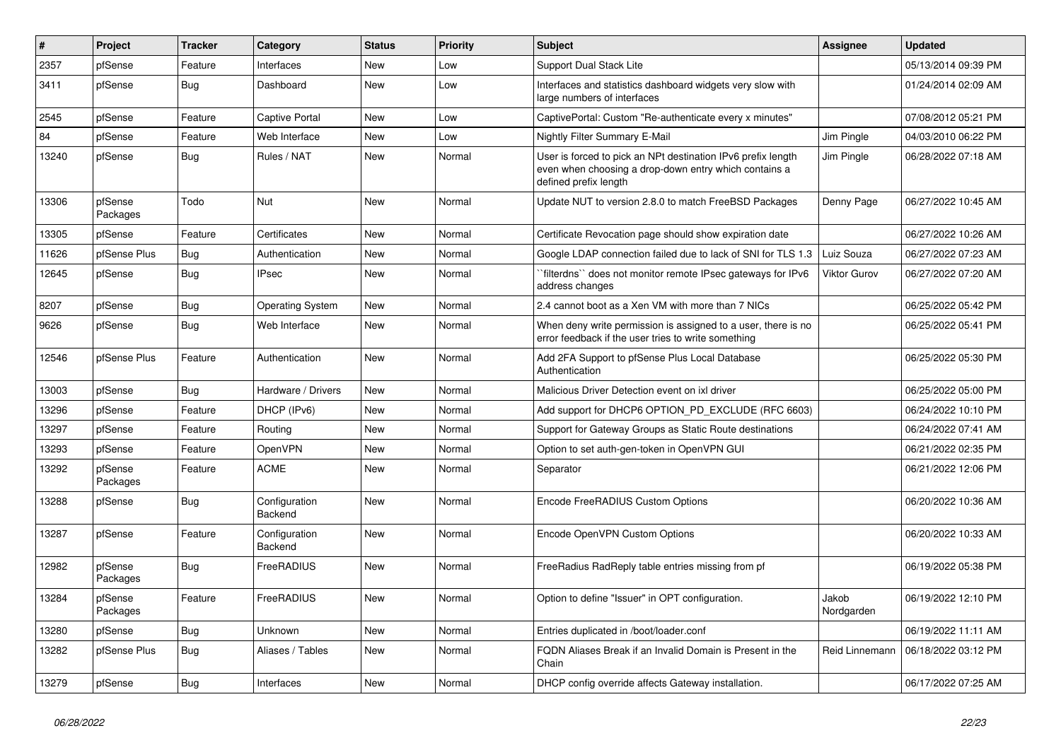| $\vert$ # | Project             | <b>Tracker</b> | Category                 | <b>Status</b> | <b>Priority</b> | <b>Subject</b>                                                                                                                                 | <b>Assignee</b>     | <b>Updated</b>      |
|-----------|---------------------|----------------|--------------------------|---------------|-----------------|------------------------------------------------------------------------------------------------------------------------------------------------|---------------------|---------------------|
| 2357      | pfSense             | Feature        | Interfaces               | <b>New</b>    | Low             | <b>Support Dual Stack Lite</b>                                                                                                                 |                     | 05/13/2014 09:39 PM |
| 3411      | pfSense             | <b>Bug</b>     | Dashboard                | <b>New</b>    | Low             | Interfaces and statistics dashboard widgets very slow with<br>large numbers of interfaces                                                      |                     | 01/24/2014 02:09 AM |
| 2545      | pfSense             | Feature        | Captive Portal           | <b>New</b>    | Low             | CaptivePortal: Custom "Re-authenticate every x minutes"                                                                                        |                     | 07/08/2012 05:21 PM |
| 84        | pfSense             | Feature        | Web Interface            | <b>New</b>    | Low             | Nightly Filter Summary E-Mail                                                                                                                  | Jim Pingle          | 04/03/2010 06:22 PM |
| 13240     | pfSense             | <b>Bug</b>     | Rules / NAT              | <b>New</b>    | Normal          | User is forced to pick an NPt destination IPv6 prefix length<br>even when choosing a drop-down entry which contains a<br>defined prefix length | Jim Pingle          | 06/28/2022 07:18 AM |
| 13306     | pfSense<br>Packages | Todo           | Nut                      | <b>New</b>    | Normal          | Update NUT to version 2.8.0 to match FreeBSD Packages                                                                                          | Denny Page          | 06/27/2022 10:45 AM |
| 13305     | pfSense             | Feature        | Certificates             | <b>New</b>    | Normal          | Certificate Revocation page should show expiration date                                                                                        |                     | 06/27/2022 10:26 AM |
| 11626     | pfSense Plus        | <b>Bug</b>     | Authentication           | <b>New</b>    | Normal          | Google LDAP connection failed due to lack of SNI for TLS 1.3                                                                                   | Luiz Souza          | 06/27/2022 07:23 AM |
| 12645     | pfSense             | <b>Bug</b>     | <b>IPsec</b>             | <b>New</b>    | Normal          | `filterdns`` does not monitor remote IPsec gateways for IPv6<br>address changes                                                                | Viktor Gurov        | 06/27/2022 07:20 AM |
| 8207      | pfSense             | Bug            | <b>Operating System</b>  | <b>New</b>    | Normal          | 2.4 cannot boot as a Xen VM with more than 7 NICs                                                                                              |                     | 06/25/2022 05:42 PM |
| 9626      | pfSense             | Bug            | Web Interface            | New           | Normal          | When deny write permission is assigned to a user, there is no<br>error feedback if the user tries to write something                           |                     | 06/25/2022 05:41 PM |
| 12546     | pfSense Plus        | Feature        | Authentication           | <b>New</b>    | Normal          | Add 2FA Support to pfSense Plus Local Database<br>Authentication                                                                               |                     | 06/25/2022 05:30 PM |
| 13003     | pfSense             | <b>Bug</b>     | Hardware / Drivers       | <b>New</b>    | Normal          | Malicious Driver Detection event on ixl driver                                                                                                 |                     | 06/25/2022 05:00 PM |
| 13296     | pfSense             | Feature        | DHCP (IPv6)              | New           | Normal          | Add support for DHCP6 OPTION_PD_EXCLUDE (RFC 6603)                                                                                             |                     | 06/24/2022 10:10 PM |
| 13297     | pfSense             | Feature        | Routing                  | New           | Normal          | Support for Gateway Groups as Static Route destinations                                                                                        |                     | 06/24/2022 07:41 AM |
| 13293     | pfSense             | Feature        | <b>OpenVPN</b>           | New           | Normal          | Option to set auth-gen-token in OpenVPN GUI                                                                                                    |                     | 06/21/2022 02:35 PM |
| 13292     | pfSense<br>Packages | Feature        | <b>ACME</b>              | New           | Normal          | Separator                                                                                                                                      |                     | 06/21/2022 12:06 PM |
| 13288     | pfSense             | <b>Bug</b>     | Configuration<br>Backend | <b>New</b>    | Normal          | Encode FreeRADIUS Custom Options                                                                                                               |                     | 06/20/2022 10:36 AM |
| 13287     | pfSense             | Feature        | Configuration<br>Backend | <b>New</b>    | Normal          | Encode OpenVPN Custom Options                                                                                                                  |                     | 06/20/2022 10:33 AM |
| 12982     | pfSense<br>Packages | <b>Bug</b>     | FreeRADIUS               | <b>New</b>    | Normal          | FreeRadius RadReply table entries missing from pf                                                                                              |                     | 06/19/2022 05:38 PM |
| 13284     | pfSense<br>Packages | Feature        | FreeRADIUS               | <b>New</b>    | Normal          | Option to define "Issuer" in OPT configuration.                                                                                                | Jakob<br>Nordgarden | 06/19/2022 12:10 PM |
| 13280     | pfSense             | <b>Bug</b>     | Unknown                  | <b>New</b>    | Normal          | Entries duplicated in /boot/loader.conf                                                                                                        |                     | 06/19/2022 11:11 AM |
| 13282     | pfSense Plus        | <b>Bug</b>     | Aliases / Tables         | <b>New</b>    | Normal          | FQDN Aliases Break if an Invalid Domain is Present in the<br>Chain                                                                             | Reid Linnemann      | 06/18/2022 03:12 PM |
| 13279     | pfSense             | <b>Bug</b>     | Interfaces               | <b>New</b>    | Normal          | DHCP config override affects Gateway installation.                                                                                             |                     | 06/17/2022 07:25 AM |